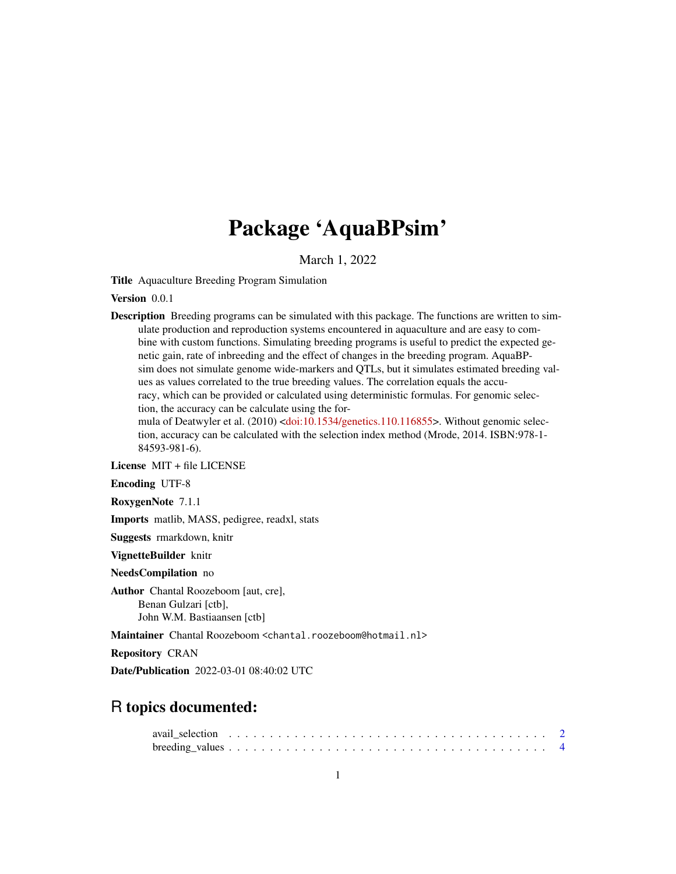## Package 'AquaBPsim'

March 1, 2022

Title Aquaculture Breeding Program Simulation

Version 0.0.1

Description Breeding programs can be simulated with this package. The functions are written to simulate production and reproduction systems encountered in aquaculture and are easy to combine with custom functions. Simulating breeding programs is useful to predict the expected genetic gain, rate of inbreeding and the effect of changes in the breeding program. AquaBPsim does not simulate genome wide-markers and QTLs, but it simulates estimated breeding values as values correlated to the true breeding values. The correlation equals the accuracy, which can be provided or calculated using deterministic formulas. For genomic selection, the accuracy can be calculate using the for-mula of Deatwyler et al. (2010) [<doi:10.1534/genetics.110.116855>](https://doi.org/10.1534/genetics.110.116855). Without genomic selec-

tion, accuracy can be calculated with the selection index method (Mrode, 2014. ISBN:978-1- 84593-981-6).

License MIT + file LICENSE

Encoding UTF-8

RoxygenNote 7.1.1

Imports matlib, MASS, pedigree, readxl, stats

Suggests rmarkdown, knitr

VignetteBuilder knitr

NeedsCompilation no

Author Chantal Roozeboom [aut, cre], Benan Gulzari [ctb], John W.M. Bastiaansen [ctb]

Maintainer Chantal Roozeboom <chantal.roozeboom@hotmail.nl>

Repository CRAN

Date/Publication 2022-03-01 08:40:02 UTC

## R topics documented:

| avail selection $\ldots \ldots \ldots \ldots \ldots \ldots \ldots \ldots \ldots \ldots \ldots \ldots \ldots$ |  |  |  |  |  |  |  |  |  |  |  |  |  |  |  |  |  |  |  |  |
|--------------------------------------------------------------------------------------------------------------|--|--|--|--|--|--|--|--|--|--|--|--|--|--|--|--|--|--|--|--|
|                                                                                                              |  |  |  |  |  |  |  |  |  |  |  |  |  |  |  |  |  |  |  |  |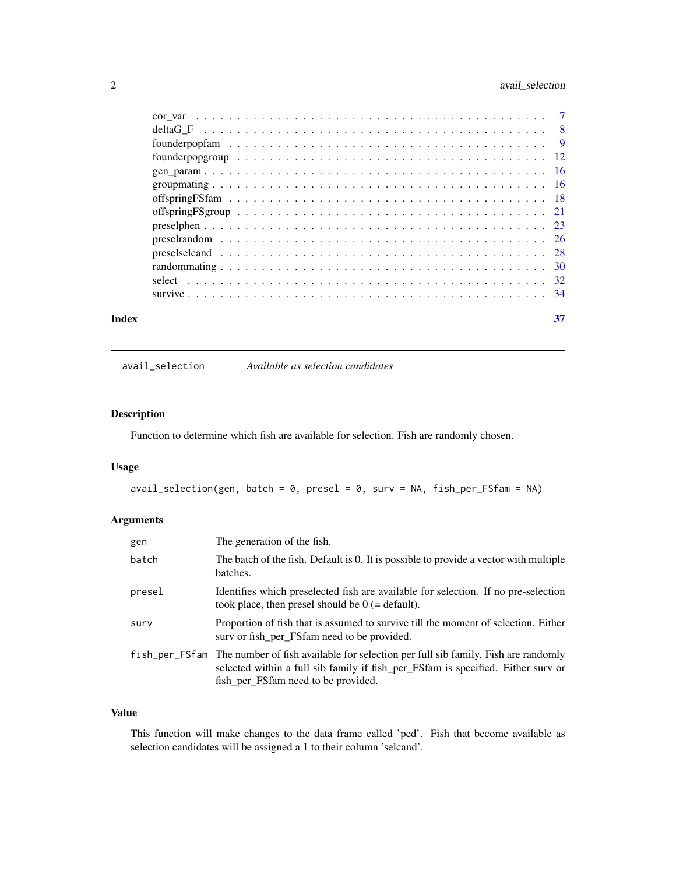## <span id="page-1-0"></span>2 avail\_selection

| Index | 37 |
|-------|----|

avail\_selection *Available as selection candidates*

## Description

Function to determine which fish are available for selection. Fish are randomly chosen.

## Usage

 $avail\_selection(gen, batch = 0, presel = 0, surv = NA, fish\_per\_FSfam = NA)$ 

## Arguments

| gen    | The generation of the fish.                                                                                                                                                                                                 |
|--------|-----------------------------------------------------------------------------------------------------------------------------------------------------------------------------------------------------------------------------|
| batch  | The batch of the fish. Default is 0. It is possible to provide a vector with multiple<br>batches.                                                                                                                           |
| presel | Identifies which preselected fish are available for selection. If no pre-selection<br>took place, then presel should be $0$ (= default).                                                                                    |
| surv   | Proportion of fish that is assumed to survive till the moment of selection. Either<br>surv or fish per FSfam need to be provided.                                                                                           |
|        | fish_per_FSfam The number of fish available for selection per full sib family. Fish are randomly<br>selected within a full sib family if fish_per_FSfam is specified. Either surv or<br>fish_per_FSfam need to be provided. |

## Value

This function will make changes to the data frame called 'ped'. Fish that become available as selection candidates will be assigned a 1 to their column 'selcand'.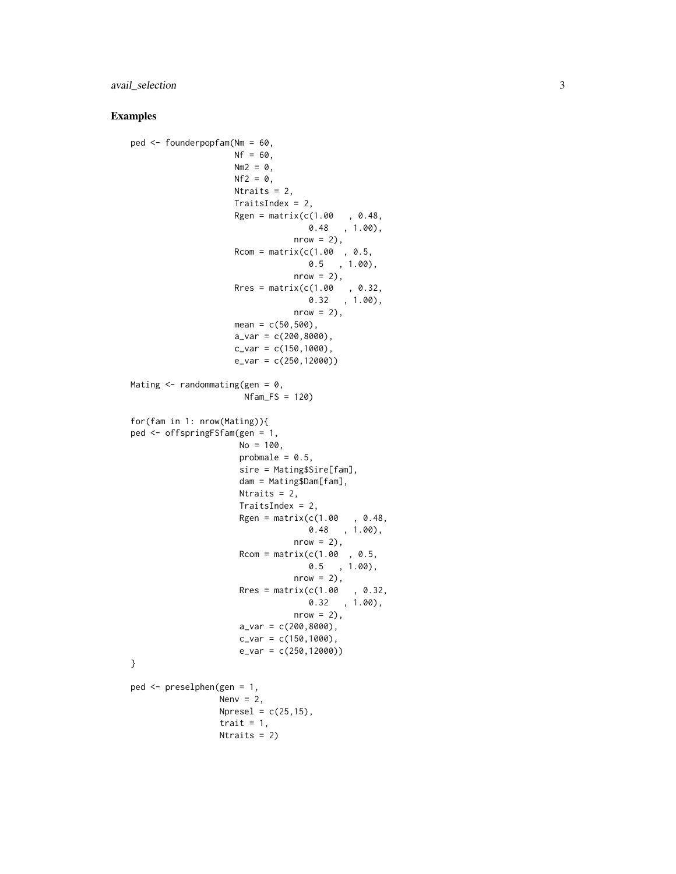## avail\_selection 3

```
ped <- founderpopfam(Nm = 60,
                    Nf = 60,
                    Nm2 = 0,
                    Nf2 = 0,
                    Ntraits = 2,
                    TraitsIndex = 2,
                    Rgen = matrix(c(1.00, 0.48,0.48 , 1.00,
                                nrow = 2,
                    Rcom = matrix(c(1.00, 0.5,0.5 , 1.00),
                                nrow = 2,
                    Rres = matrix(c(1.00, 0.32,0.32 , 1.00),
                                nrow = 2,
                    mean = c(50, 500),
                    a_{var} = c(200, 8000),
                    c_{var} = c(150, 1000),
                    e_var = c(250,12000))
Mating \leq randommating(gen = 0,
                      Nfam_FS = 120for(fam in 1: nrow(Mating)){
ped <- offspringFSfam(gen = 1,
                     No = 100,
                     probmale = 0.5,
                     sire = Mating$Sire[fam],
                     dam = Mating$Dam[fam],
                     Ntraits = 2,
                     TraitsIndex = 2,
                     Rgen = matrix(c(1.00, 0.48,0.48 , 1.00),
                                nrow = 2,
                     Rcom = matrix(c(1.00, 0.5,0.5 , 1.00),
                                nrow = 2,
                     Rres = matrix(c(1.00, 0.32,0.32 , 1.00),
                                nrow = 2,
                     a_{var} = c(200, 8000),
                     c_{var} = c(150, 1000),
                     e_var = c(250,12000))
}
ped <- preselphen(gen = 1,
                 Nenv = 2,
                 Npresel = c(25, 15),
                 trait = 1,
                 Ntraits = 2)
```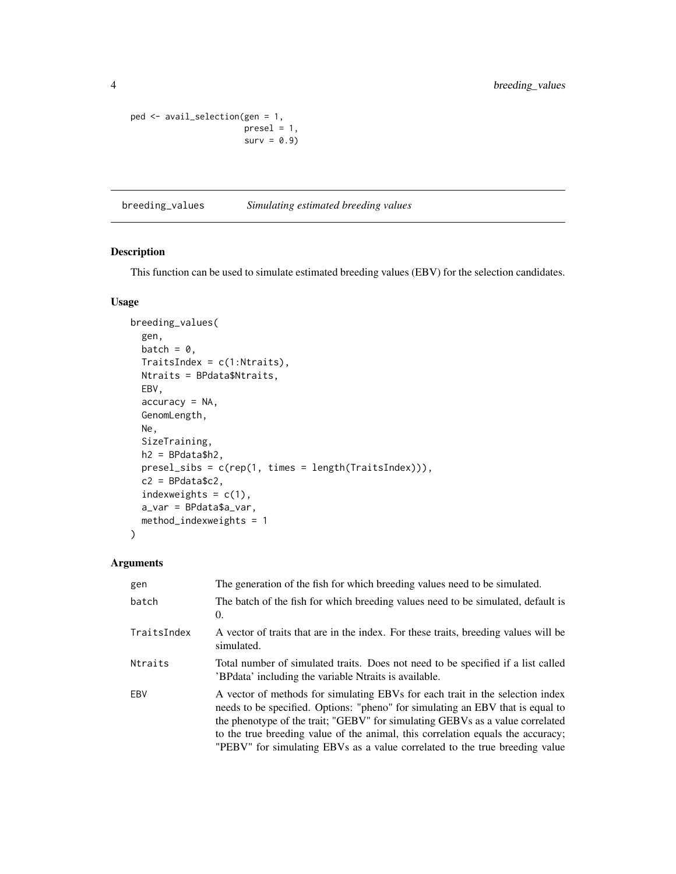```
ped <- avail_selection(gen = 1,
                     presel = 1,surv = 0.9
```
breeding\_values *Simulating estimated breeding values*

## Description

This function can be used to simulate estimated breeding values (EBV) for the selection candidates.

#### Usage

```
breeding_values(
  gen,
 batch = \theta,
 TraitsIndex = c(1:Ntraits),
 Ntraits = BPdata$Ntraits,
 EBV,
  accuracy = NA,
 GenomLength,
 Ne,
  SizeTraining,
 h2 = BPdata$h2,
 presel_sibs = c(rep(1, times = length(TraitsIndex))),
 c2 = BPdata$c2,
  indexweights = c(1),
  a_var = BPdata$a_var,
 method_indexweights = 1
\mathcal{L}
```

| gen         | The generation of the fish for which breeding values need to be simulated.                                                                                                                                                                                                                                                                                                                                         |
|-------------|--------------------------------------------------------------------------------------------------------------------------------------------------------------------------------------------------------------------------------------------------------------------------------------------------------------------------------------------------------------------------------------------------------------------|
| batch       | The batch of the fish for which breeding values need to be simulated, default is<br>0.                                                                                                                                                                                                                                                                                                                             |
| TraitsIndex | A vector of traits that are in the index. For these traits, breeding values will be<br>simulated.                                                                                                                                                                                                                                                                                                                  |
| Ntraits     | Total number of simulated traits. Does not need to be specified if a list called<br>'BPdata' including the variable Ntraits is available.                                                                                                                                                                                                                                                                          |
| EBV         | A vector of methods for simulating EBVs for each trait in the selection index<br>needs to be specified. Options: "pheno" for simulating an EBV that is equal to<br>the phenotype of the trait; "GEBV" for simulating GEBVs as a value correlated<br>to the true breeding value of the animal, this correlation equals the accuracy;<br>"PEBV" for simulating EBVs as a value correlated to the true breeding value |

<span id="page-3-0"></span>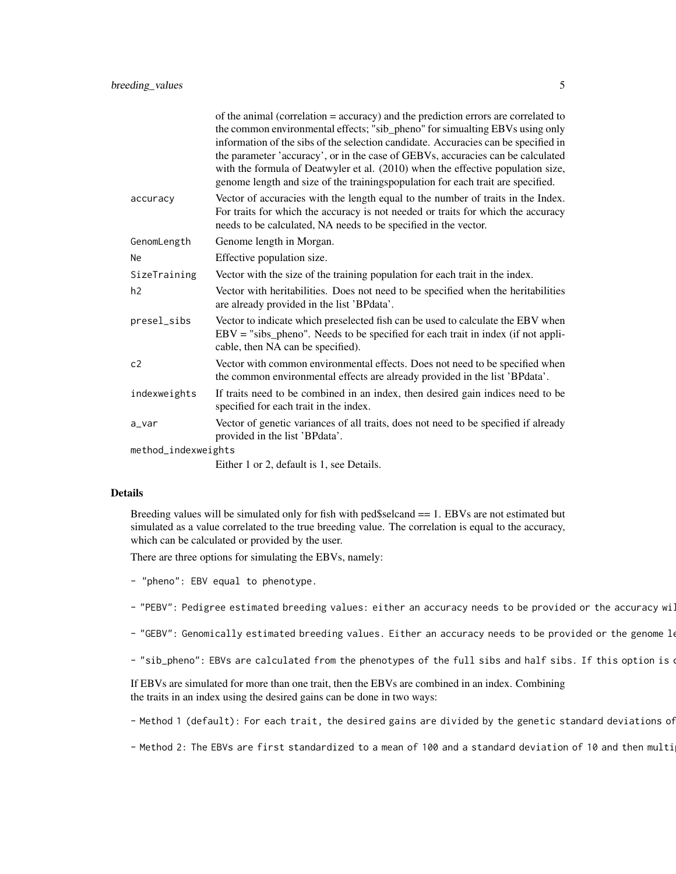|                     | of the animal (correlation = accuracy) and the prediction errors are correlated to<br>the common environmental effects; "sib_pheno" for simualting EBVs using only<br>information of the sibs of the selection candidate. Accuracies can be specified in<br>the parameter 'accuracy', or in the case of GEBVs, accuracies can be calculated<br>with the formula of Deatwyler et al. (2010) when the effective population size,<br>genome length and size of the trainingspopulation for each trait are specified. |  |  |  |  |
|---------------------|-------------------------------------------------------------------------------------------------------------------------------------------------------------------------------------------------------------------------------------------------------------------------------------------------------------------------------------------------------------------------------------------------------------------------------------------------------------------------------------------------------------------|--|--|--|--|
| accuracy            | Vector of accuracies with the length equal to the number of traits in the Index.<br>For traits for which the accuracy is not needed or traits for which the accuracy<br>needs to be calculated, NA needs to be specified in the vector.                                                                                                                                                                                                                                                                           |  |  |  |  |
| GenomLength         | Genome length in Morgan.                                                                                                                                                                                                                                                                                                                                                                                                                                                                                          |  |  |  |  |
| Ne                  | Effective population size.                                                                                                                                                                                                                                                                                                                                                                                                                                                                                        |  |  |  |  |
| SizeTraining        | Vector with the size of the training population for each trait in the index.                                                                                                                                                                                                                                                                                                                                                                                                                                      |  |  |  |  |
| h2                  | Vector with heritabilities. Does not need to be specified when the heritabilities<br>are already provided in the list 'BPdata'.                                                                                                                                                                                                                                                                                                                                                                                   |  |  |  |  |
| presel_sibs         | Vector to indicate which preselected fish can be used to calculate the EBV when<br>$EBV = "sibs\_pheno".$ Needs to be specified for each trait in index (if not appli-<br>cable, then NA can be specified).                                                                                                                                                                                                                                                                                                       |  |  |  |  |
| c2                  | Vector with common environmental effects. Does not need to be specified when<br>the common environmental effects are already provided in the list 'BPdata'.                                                                                                                                                                                                                                                                                                                                                       |  |  |  |  |
| indexweights        | If traits need to be combined in an index, then desired gain indices need to be<br>specified for each trait in the index.                                                                                                                                                                                                                                                                                                                                                                                         |  |  |  |  |
| a_var               | Vector of genetic variances of all traits, does not need to be specified if already<br>provided in the list 'BPdata'.                                                                                                                                                                                                                                                                                                                                                                                             |  |  |  |  |
| method_indexweights |                                                                                                                                                                                                                                                                                                                                                                                                                                                                                                                   |  |  |  |  |
|                     | Either 1 or 2, default is 1, see Details.                                                                                                                                                                                                                                                                                                                                                                                                                                                                         |  |  |  |  |

#### Details

Breeding values will be simulated only for fish with ped\$selcand == 1. EBVs are not estimated but simulated as a value correlated to the true breeding value. The correlation is equal to the accuracy, which can be calculated or provided by the user.

There are three options for simulating the EBVs, namely:

- "pheno": EBV equal to phenotype.
- "PEBV": Pedigree estimated breeding values: either an accuracy needs to be provided or the accuracy will
- "GEBV": Genomically estimated breeding values. Either an accuracy needs to be provided or the genome  $1\epsilon$
- "sib\_pheno": EBVs are calculated from the phenotypes of the full sibs and half sibs. If this option is  $\alpha$

If EBVs are simulated for more than one trait, then the EBVs are combined in an index. Combining the traits in an index using the desired gains can be done in two ways:

- Method 1 (default): For each trait, the desired gains are divided by the genetic standard deviations of

- Method 2: The EBVs are first standardized to a mean of 100 and a standard deviation of 10 and then multi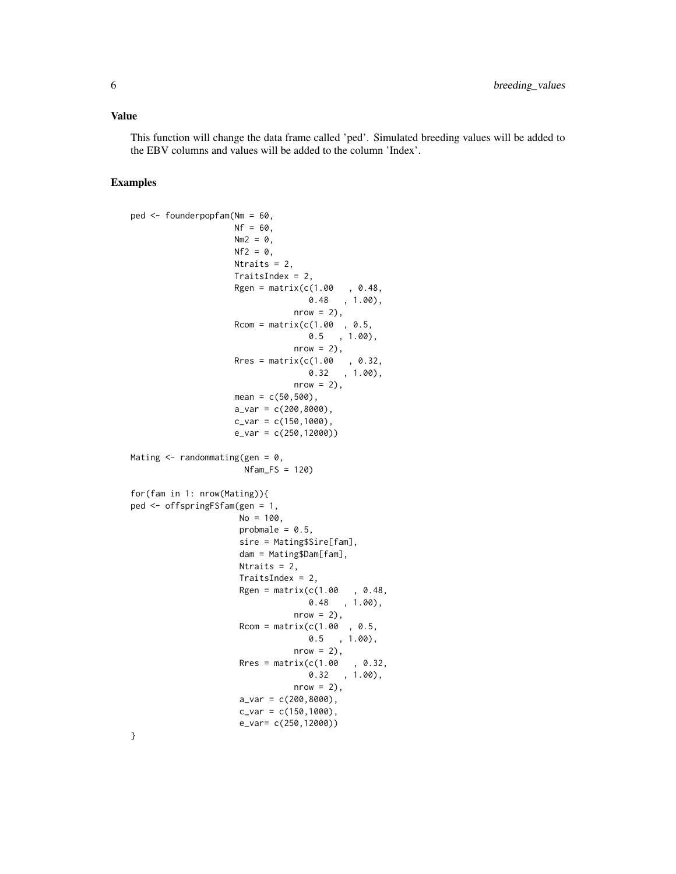#### Value

This function will change the data frame called 'ped'. Simulated breeding values will be added to the EBV columns and values will be added to the column 'Index'.

#### Examples

```
ped <- founderpopfam(Nm = 60,
                    Nf = 60.
                    Nm2 = 0,
                    Nf2 = 0,
                    Ntraits = 2,
                    TraitsIndex = 2,
                    Rgen = matrix(c(1.00, 0.48,0.48 , 1.00),
                                nrow = 2,
                    Rcom = matrix(c(1.00, 0.5,0.5 , 1.00),
                                nrow = 2,
                    Rres = matrix(c(1.00, 0.32,0.32 , 1.00),
                                nrow = 2,
                    mean = c(50, 500),
                    a_v = c(200, 8000),
                    c_{var} = c(150, 1000),
                    e_var = c(250,12000))
Mating \leq randommating(gen = 0,
                      Nfam_FS = 120for(fam in 1: nrow(Mating)){
ped <- offspringFSfam(gen = 1,
                     No = 100,probmale = 0.5,
                     sire = Mating$Sire[fam],
                     dam = Mating$Dam[fam],
                     Ntraits = 2,
                     TraitsIndex = 2,
                     Rgen = matrix(c(1.00, 0.48,0.48 , 1.00),
                                nrow = 2,
                     Rcom = matrix(c(1.00, 0.5,0.5 , 1.00),
                                nrow = 2,
                     Rres = matrix(c(1.00, 0.32,0.32 , 1.00),
                                nrow = 2,
                     a_{var} = c(200, 8000),
                     c_{var} = c(150, 1000),
                     e_var= c(250,12000))
```
}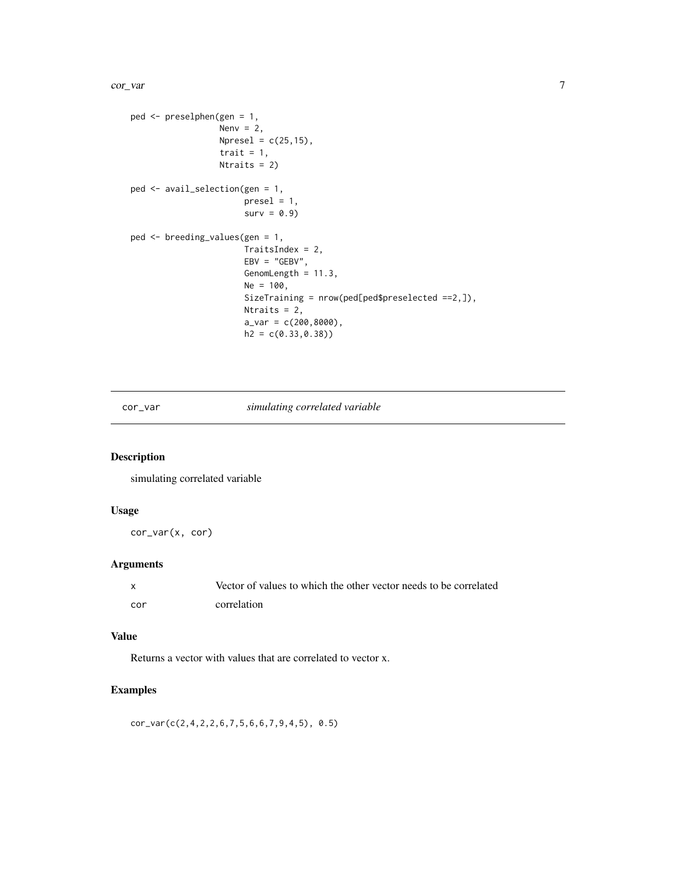#### <span id="page-6-0"></span>cor\_var 7

```
ped <- preselphen(gen = 1,
                 Nenv = 2,
                  Npresel = c(25, 15),
                  trait = 1,
                  Ntraits = 2)
ped <- avail_selection(gen = 1,
                       presel = 1,surv = 0.9ped <- breeding_values(gen = 1,
                       TraitsIndex = 2,
                       EBV = "GEBV",GenomLength = 11.3,
                       Ne = 100,SizeTraining = nrow(ped[ped$preselected ==2,]),
                       Ntraits = 2,
                       a_{var} = c(200, 8000),
                       h2 = c(0.33, 0.38)
```
cor\_var *simulating correlated variable*

## Description

simulating correlated variable

## Usage

cor\_var(x, cor)

## Arguments

| X   | Vector of values to which the other vector needs to be correlated |
|-----|-------------------------------------------------------------------|
| cor | correlation                                                       |

#### Value

Returns a vector with values that are correlated to vector x.

## Examples

cor\_var(c(2,4,2,2,6,7,5,6,6,7,9,4,5), 0.5)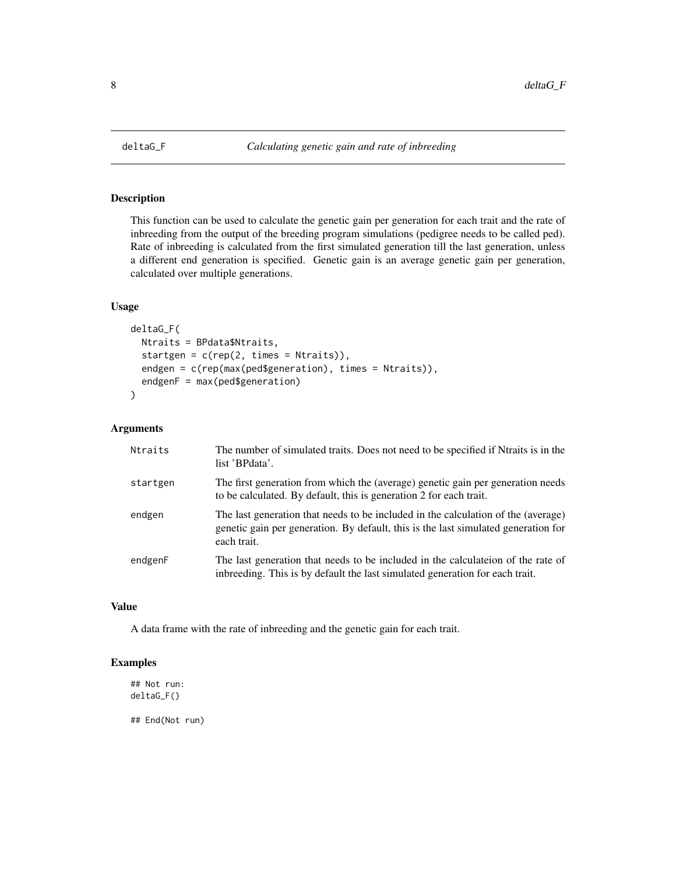<span id="page-7-0"></span>

#### Description

This function can be used to calculate the genetic gain per generation for each trait and the rate of inbreeding from the output of the breeding program simulations (pedigree needs to be called ped). Rate of inbreeding is calculated from the first simulated generation till the last generation, unless a different end generation is specified. Genetic gain is an average genetic gain per generation, calculated over multiple generations.

## Usage

```
deltaG_F(
 Ntraits = BPdata$Ntraits,
  startgen = c(rep(2, times = Ntraits)),endgen = c(rep(max(ped$generation), times = Ntraits)),
  endgenF = max(ped$generation)
\mathcal{L}
```
#### Arguments

| Ntraits  | The number of simulated traits. Does not need to be specified if Ntraits is in the<br>list 'BPdata'.                                                                                   |
|----------|----------------------------------------------------------------------------------------------------------------------------------------------------------------------------------------|
| startgen | The first generation from which the (average) genetic gain per generation needs<br>to be calculated. By default, this is generation 2 for each trait.                                  |
| endgen   | The last generation that needs to be included in the calculation of the (average)<br>genetic gain per generation. By default, this is the last simulated generation for<br>each trait. |
| endgenF  | The last generation that needs to be included in the calculate of the rate of<br>inbreeding. This is by default the last simulated generation for each trait.                          |

## Value

A data frame with the rate of inbreeding and the genetic gain for each trait.

## Examples

## Not run: deltaG\_F()

## End(Not run)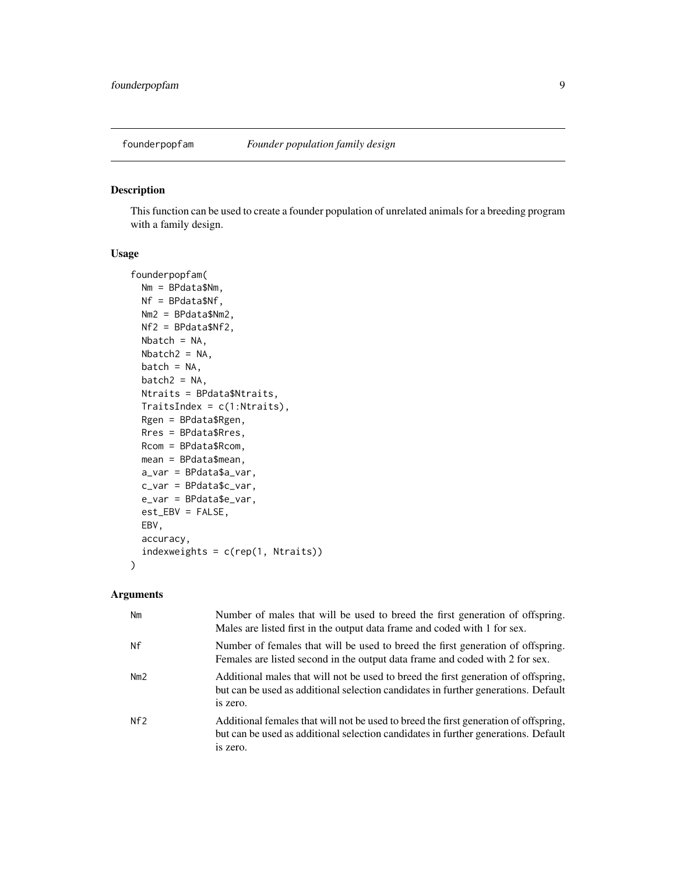<span id="page-8-0"></span>

### Description

This function can be used to create a founder population of unrelated animals for a breeding program with a family design.

## Usage

```
founderpopfam(
 Nm = BPdata$Nm,
 Nf = BPdata$Nf,
 Nm2 = BPdata$Nm2,
 Nf2 = BPdata$Nf2,
 Nbatch = NA,Nbatch2 = NA,
  batch = NA,batch2 = NA,Ntraits = BPdata$Ntraits,
 TraitsIndex = c(1:Ntraits),
 Rgen = BPdata$Rgen,
 Rres = BPdata$Rres,
 Rcom = BPdata$Rcom,
 mean = BPdata$mean,
  a_var = BPdata$a_var,
  c_var = BPdata$c_var,
  e_var = BPdata$e_var,
  est_EBV = FALSE,
 EBV,
  accuracy,
  indexweights = c(rep(1, Ntraits))
)
```

| Nm  | Number of males that will be used to breed the first generation of offspring.<br>Males are listed first in the output data frame and coded with 1 for sex.                             |
|-----|----------------------------------------------------------------------------------------------------------------------------------------------------------------------------------------|
| Nf  | Number of females that will be used to breed the first generation of offspring.<br>Females are listed second in the output data frame and coded with 2 for sex.                        |
| Nm2 | Additional males that will not be used to breed the first generation of offspring,<br>but can be used as additional selection candidates in further generations. Default<br>is zero.   |
| Nf2 | Additional females that will not be used to breed the first generation of offspring,<br>but can be used as additional selection candidates in further generations. Default<br>is zero. |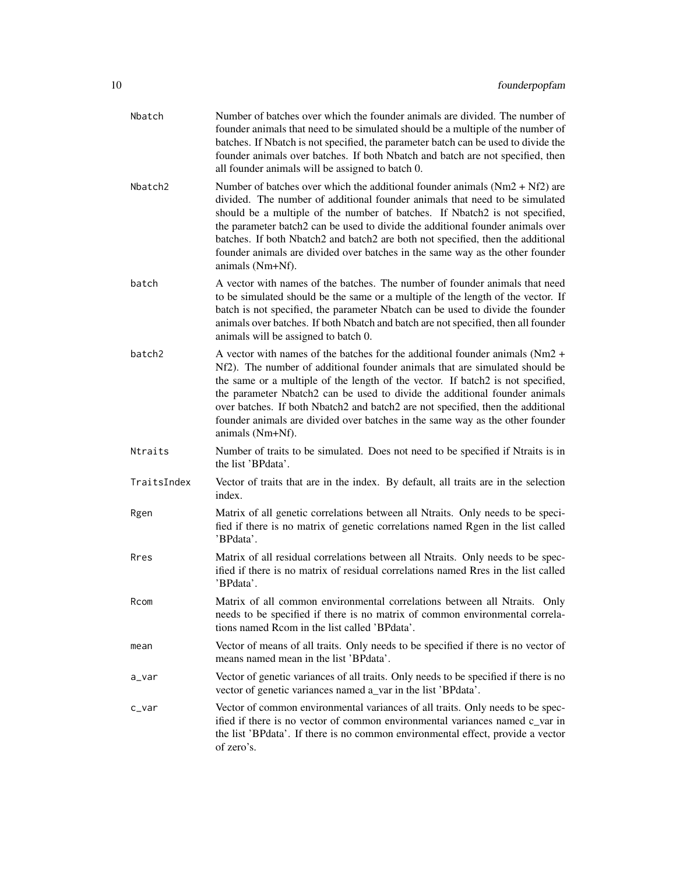| Nbatch      | Number of batches over which the founder animals are divided. The number of<br>founder animals that need to be simulated should be a multiple of the number of<br>batches. If Nbatch is not specified, the parameter batch can be used to divide the<br>founder animals over batches. If both Nbatch and batch are not specified, then<br>all founder animals will be assigned to batch 0.                                                                                                                              |
|-------------|-------------------------------------------------------------------------------------------------------------------------------------------------------------------------------------------------------------------------------------------------------------------------------------------------------------------------------------------------------------------------------------------------------------------------------------------------------------------------------------------------------------------------|
| Nbatch2     | Number of batches over which the additional founder animals $(Nm2 + Nf2)$ are<br>divided. The number of additional founder animals that need to be simulated<br>should be a multiple of the number of batches. If Nbatch2 is not specified,<br>the parameter batch2 can be used to divide the additional founder animals over<br>batches. If both Nbatch2 and batch2 are both not specified, then the additional<br>founder animals are divided over batches in the same way as the other founder<br>animals (Nm+Nf).   |
| batch       | A vector with names of the batches. The number of founder animals that need<br>to be simulated should be the same or a multiple of the length of the vector. If<br>batch is not specified, the parameter Nbatch can be used to divide the founder<br>animals over batches. If both Nbatch and batch are not specified, then all founder<br>animals will be assigned to batch 0.                                                                                                                                         |
| batch2      | A vector with names of the batches for the additional founder animals ( $Nm2 +$<br>Nf2). The number of additional founder animals that are simulated should be<br>the same or a multiple of the length of the vector. If batch2 is not specified,<br>the parameter Nbatch2 can be used to divide the additional founder animals<br>over batches. If both Nbatch2 and batch2 are not specified, then the additional<br>founder animals are divided over batches in the same way as the other founder<br>animals (Nm+Nf). |
| Ntraits     | Number of traits to be simulated. Does not need to be specified if Ntraits is in<br>the list 'BPdata'.                                                                                                                                                                                                                                                                                                                                                                                                                  |
| TraitsIndex | Vector of traits that are in the index. By default, all traits are in the selection<br>index.                                                                                                                                                                                                                                                                                                                                                                                                                           |
| Rgen        | Matrix of all genetic correlations between all Ntraits. Only needs to be speci-<br>fied if there is no matrix of genetic correlations named Rgen in the list called<br>'BPdata'.                                                                                                                                                                                                                                                                                                                                        |
| Rres        | Matrix of all residual correlations between all Ntraits. Only needs to be spec-<br>ified if there is no matrix of residual correlations named Rres in the list called<br>'BPdata'.                                                                                                                                                                                                                                                                                                                                      |
| Rcom        | Matrix of all common environmental correlations between all Ntraits.<br>Only<br>needs to be specified if there is no matrix of common environmental correla-<br>tions named Rcom in the list called 'BPdata'.                                                                                                                                                                                                                                                                                                           |
| mean        | Vector of means of all traits. Only needs to be specified if there is no vector of<br>means named mean in the list 'BPdata'.                                                                                                                                                                                                                                                                                                                                                                                            |
| a_var       | Vector of genetic variances of all traits. Only needs to be specified if there is no<br>vector of genetic variances named a_var in the list 'BPdata'.                                                                                                                                                                                                                                                                                                                                                                   |
| c_var       | Vector of common environmental variances of all traits. Only needs to be spec-<br>ified if there is no vector of common environmental variances named c_var in<br>the list 'BPdata'. If there is no common environmental effect, provide a vector<br>of zero's.                                                                                                                                                                                                                                                         |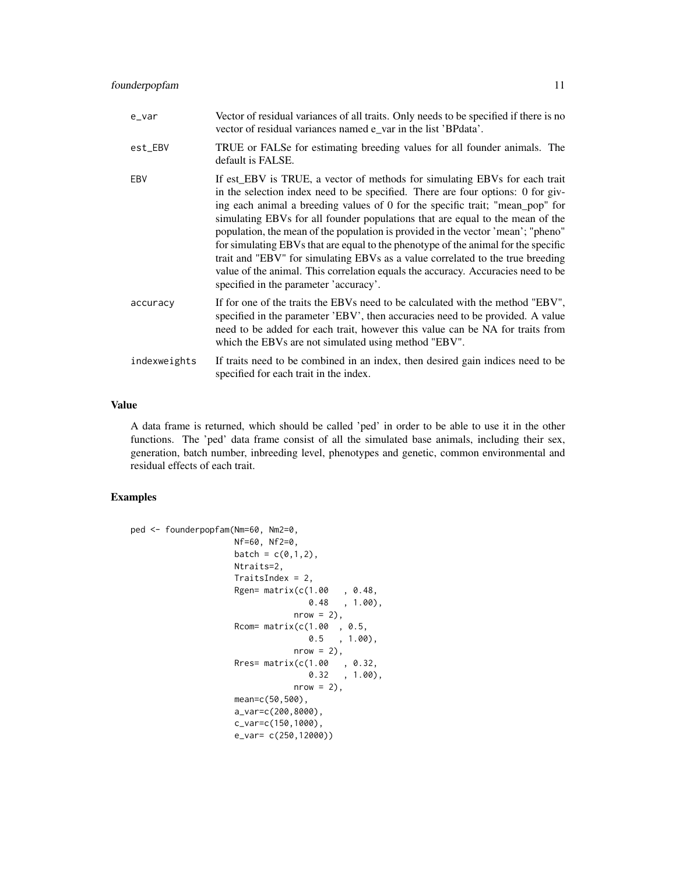| e_var        | Vector of residual variances of all traits. Only needs to be specified if there is no<br>vector of residual variances named e_var in the list 'BPdata'.                                                                                                                                                                                                                                                                                                                                                                                                                                                                                                                                                                   |
|--------------|---------------------------------------------------------------------------------------------------------------------------------------------------------------------------------------------------------------------------------------------------------------------------------------------------------------------------------------------------------------------------------------------------------------------------------------------------------------------------------------------------------------------------------------------------------------------------------------------------------------------------------------------------------------------------------------------------------------------------|
| est_EBV      | TRUE or FALSe for estimating breeding values for all founder animals. The<br>default is FALSE.                                                                                                                                                                                                                                                                                                                                                                                                                                                                                                                                                                                                                            |
| EBV          | If est_EBV is TRUE, a vector of methods for simulating EBVs for each trait<br>in the selection index need to be specified. There are four options: 0 for giv-<br>ing each animal a breeding values of 0 for the specific trait; "mean_pop" for<br>simulating EBVs for all founder populations that are equal to the mean of the<br>population, the mean of the population is provided in the vector 'mean'; "pheno"<br>for simulating EBVs that are equal to the phenotype of the animal for the specific<br>trait and "EBV" for simulating EBVs as a value correlated to the true breeding<br>value of the animal. This correlation equals the accuracy. Accuracies need to be<br>specified in the parameter 'accuracy'. |
| accuracy     | If for one of the traits the EBVs need to be calculated with the method "EBV",<br>specified in the parameter 'EBV', then accuracies need to be provided. A value<br>need to be added for each trait, however this value can be NA for traits from<br>which the EBVs are not simulated using method "EBV".                                                                                                                                                                                                                                                                                                                                                                                                                 |
| indexweights | If traits need to be combined in an index, then desired gain indices need to be<br>specified for each trait in the index.                                                                                                                                                                                                                                                                                                                                                                                                                                                                                                                                                                                                 |

## Value

A data frame is returned, which should be called 'ped' in order to be able to use it in the other functions. The 'ped' data frame consist of all the simulated base animals, including their sex, generation, batch number, inbreeding level, phenotypes and genetic, common environmental and residual effects of each trait.

```
ped <- founderpopfam(Nm=60, Nm2=0,
                    Nf=60, Nf2=0,
                    batch = c(\emptyset,1,2),
                    Ntraits=2,
                    TraitsIndex = 2,
                    Rgen= matrix(c(1.00 , 0.48,
                                   0.48 , 1.00),
                                nrow = 2,
                    Rcom= matrix(c(1.00 , 0.5,
                                   0.5 , 1.00),
                                nrow = 2,
                    Rres= matrix(c(1.00 , 0.32,
                                   0.32 , 1.00),
                                nrow = 2,
                    mean=c(50,500),
                    a_var=c(200,8000),
                    c_var=c(150,1000),
                    e_var= c(250,12000))
```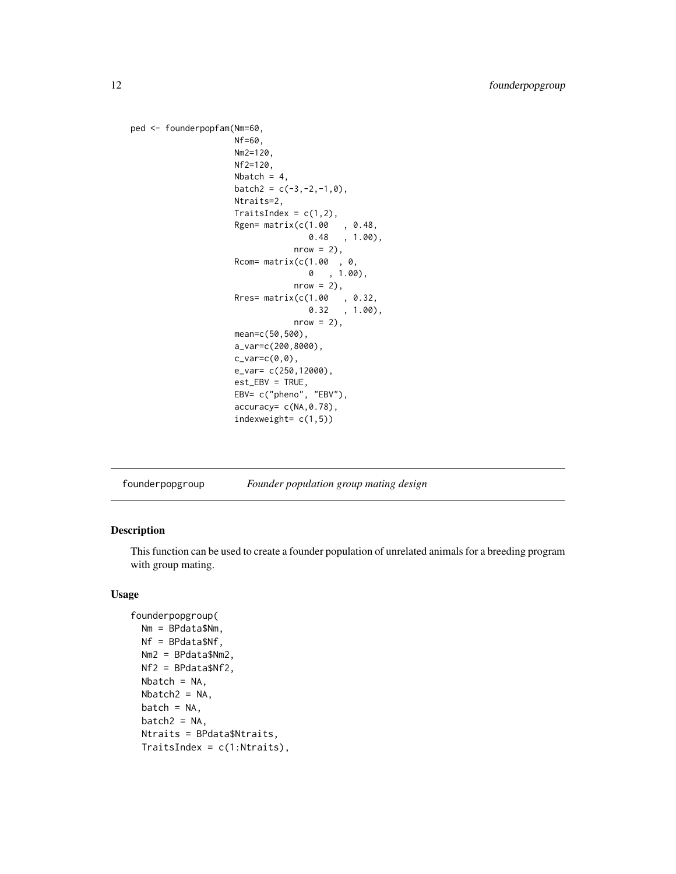```
ped <- founderpopfam(Nm=60,
                      Nf=60,
                      Nm2=120,
                      Nf2=120,
                      Nbatch = 4,
                      batch2 = c(-3, -2, -1, 0),
                      Ntraits=2,
                      TraitsIndex = c(1,2),
                      Rgen= matrix(c(1.00 , 0.48,
                                      0.48 , 1.00),
                                   nrow = 2),
                      Rcom= matrix(c(1.00 , 0,
                                      0 , 1.00),
                                   nrow = 2,
                      Rres= matrix(c(1.00 , 0.32,
                                      0.32 , 1.00),
                                   nrow = 2,
                      mean=c(50,500),
                      a_var=c(200,8000),
                      c_\text{vare}c(\emptyset, \emptyset),
                      e_var= c(250,12000),
                      est_EBV = TRUE,
                      EBV= c("pheno", "EBV"),
                      accuracy= c(NA,0.78),
                      indexweight= c(1,5))
```
founderpopgroup *Founder population group mating design*

## Description

This function can be used to create a founder population of unrelated animals for a breeding program with group mating.

## Usage

```
founderpopgroup(
 Nm = BPdata$Nm,
 Nf = BPdata$Nf,
 Nm2 = BPdata$Nm2,
 Nf2 = BPdata$Nf2,
 Nbatch = NA,
 Nbatch2 = NA,
 batch = NA,
 batch2 = NA,
 Ntraits = BPdata$Ntraits,
 TraitsIndex = c(1:Ntraits),
```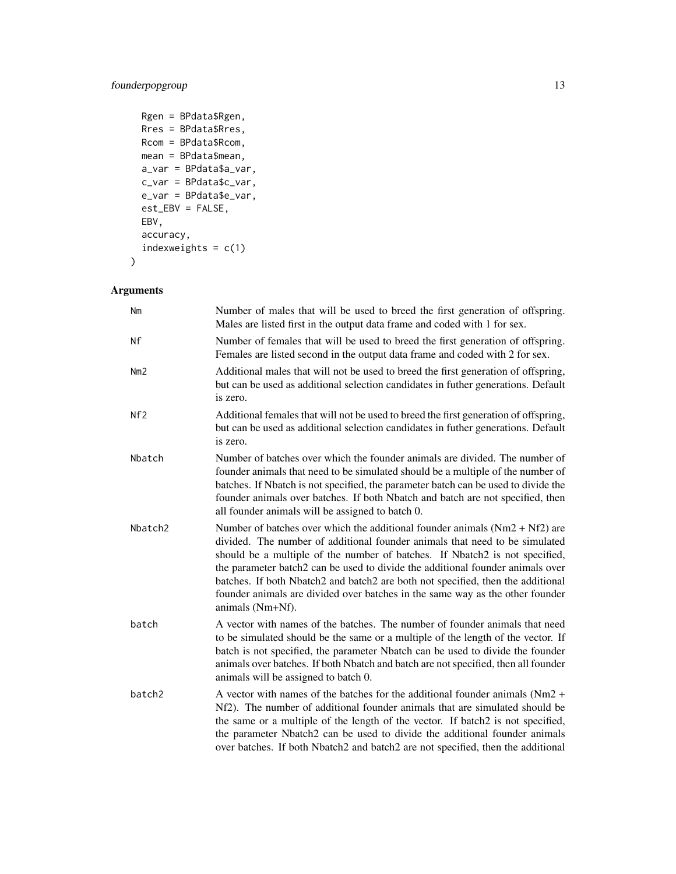## founderpopgroup 13

```
Rgen = BPdata$Rgen,
Rres = BPdata$Rres,
Rcom = BPdata$Rcom,
mean = BPdata$mean,
a_var = BPdata$a_var,
c_var = BPdata$c_var,
e_var = BPdata$e_var,
est_EBV = FALSE,
EBV,
accuracy,
indexweights = c(1)
```

```
Arguments
```
)

| Nm                 | Number of males that will be used to breed the first generation of offspring.<br>Males are listed first in the output data frame and coded with 1 for sex.                                                                                                                                                                                                                                                                                                                                                            |
|--------------------|-----------------------------------------------------------------------------------------------------------------------------------------------------------------------------------------------------------------------------------------------------------------------------------------------------------------------------------------------------------------------------------------------------------------------------------------------------------------------------------------------------------------------|
| Νf                 | Number of females that will be used to breed the first generation of offspring.<br>Females are listed second in the output data frame and coded with 2 for sex.                                                                                                                                                                                                                                                                                                                                                       |
| Nm2                | Additional males that will not be used to breed the first generation of offspring,<br>but can be used as additional selection candidates in futher generations. Default<br>is zero.                                                                                                                                                                                                                                                                                                                                   |
| Nf2                | Additional females that will not be used to breed the first generation of offspring,<br>but can be used as additional selection candidates in futher generations. Default<br>is zero.                                                                                                                                                                                                                                                                                                                                 |
| Nbatch             | Number of batches over which the founder animals are divided. The number of<br>founder animals that need to be simulated should be a multiple of the number of<br>batches. If Nbatch is not specified, the parameter batch can be used to divide the<br>founder animals over batches. If both Nbatch and batch are not specified, then<br>all founder animals will be assigned to batch 0.                                                                                                                            |
| Nbatch2            | Number of batches over which the additional founder animals $(Nm2 + Nf2)$ are<br>divided. The number of additional founder animals that need to be simulated<br>should be a multiple of the number of batches. If Nbatch2 is not specified,<br>the parameter batch2 can be used to divide the additional founder animals over<br>batches. If both Nbatch2 and batch2 are both not specified, then the additional<br>founder animals are divided over batches in the same way as the other founder<br>animals (Nm+Nf). |
| batch              | A vector with names of the batches. The number of founder animals that need<br>to be simulated should be the same or a multiple of the length of the vector. If<br>batch is not specified, the parameter Nbatch can be used to divide the founder<br>animals over batches. If both Nbatch and batch are not specified, then all founder<br>animals will be assigned to batch 0.                                                                                                                                       |
| batch <sub>2</sub> | A vector with names of the batches for the additional founder animals ( $Nm2 +$<br>Nf2). The number of additional founder animals that are simulated should be<br>the same or a multiple of the length of the vector. If batch2 is not specified,<br>the parameter Nbatch2 can be used to divide the additional founder animals<br>over batches. If both Nbatch2 and batch2 are not specified, then the additional                                                                                                    |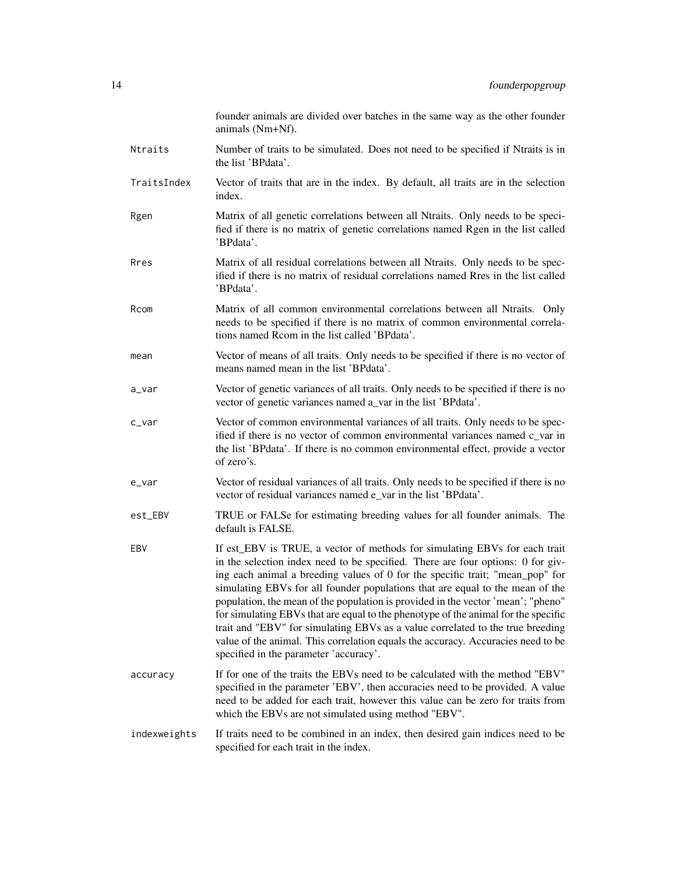|              | founder animals are divided over batches in the same way as the other founder<br>animals (Nm+Nf).                                                                                                                                                                                                                                                                                                                                                                                                                                                                                                                                                                                                                         |
|--------------|---------------------------------------------------------------------------------------------------------------------------------------------------------------------------------------------------------------------------------------------------------------------------------------------------------------------------------------------------------------------------------------------------------------------------------------------------------------------------------------------------------------------------------------------------------------------------------------------------------------------------------------------------------------------------------------------------------------------------|
| Ntraits      | Number of traits to be simulated. Does not need to be specified if Ntraits is in<br>the list 'BPdata'.                                                                                                                                                                                                                                                                                                                                                                                                                                                                                                                                                                                                                    |
| TraitsIndex  | Vector of traits that are in the index. By default, all traits are in the selection<br>index.                                                                                                                                                                                                                                                                                                                                                                                                                                                                                                                                                                                                                             |
| Rgen         | Matrix of all genetic correlations between all Ntraits. Only needs to be speci-<br>fied if there is no matrix of genetic correlations named Rgen in the list called<br>'BPdata'.                                                                                                                                                                                                                                                                                                                                                                                                                                                                                                                                          |
| Rres         | Matrix of all residual correlations between all Ntraits. Only needs to be spec-<br>ified if there is no matrix of residual correlations named Rres in the list called<br>'BPdata'.                                                                                                                                                                                                                                                                                                                                                                                                                                                                                                                                        |
| Rcom         | Matrix of all common environmental correlations between all Ntraits. Only<br>needs to be specified if there is no matrix of common environmental correla-<br>tions named Rcom in the list called 'BPdata'.                                                                                                                                                                                                                                                                                                                                                                                                                                                                                                                |
| mean         | Vector of means of all traits. Only needs to be specified if there is no vector of<br>means named mean in the list 'BPdata'.                                                                                                                                                                                                                                                                                                                                                                                                                                                                                                                                                                                              |
| a_var        | Vector of genetic variances of all traits. Only needs to be specified if there is no<br>vector of genetic variances named a_var in the list 'BPdata'.                                                                                                                                                                                                                                                                                                                                                                                                                                                                                                                                                                     |
| $c$ _var     | Vector of common environmental variances of all traits. Only needs to be spec-<br>ified if there is no vector of common environmental variances named c_var in<br>the list 'BPdata'. If there is no common environmental effect, provide a vector<br>of zero's.                                                                                                                                                                                                                                                                                                                                                                                                                                                           |
| e_var        | Vector of residual variances of all traits. Only needs to be specified if there is no<br>vector of residual variances named e_var in the list 'BPdata'.                                                                                                                                                                                                                                                                                                                                                                                                                                                                                                                                                                   |
| est_EBV      | TRUE or FALSe for estimating breeding values for all founder animals. The<br>default is FALSE.                                                                                                                                                                                                                                                                                                                                                                                                                                                                                                                                                                                                                            |
| EBV          | If est_EBV is TRUE, a vector of methods for simulating EBVs for each trait<br>in the selection index need to be specified. There are four options: 0 for giv-<br>ing each animal a breeding values of 0 for the specific trait; "mean_pop" for<br>simulating EBVs for all founder populations that are equal to the mean of the<br>population, the mean of the population is provided in the vector 'mean'; "pheno"<br>for simulating EBVs that are equal to the phenotype of the animal for the specific<br>trait and "EBV" for simulating EBVs as a value correlated to the true breeding<br>value of the animal. This correlation equals the accuracy. Accuracies need to be<br>specified in the parameter 'accuracy'. |
| accuracy     | If for one of the traits the EBVs need to be calculated with the method "EBV"<br>specified in the parameter 'EBV', then accuracies need to be provided. A value<br>need to be added for each trait, however this value can be zero for traits from<br>which the EBVs are not simulated using method "EBV".                                                                                                                                                                                                                                                                                                                                                                                                                |
| indexweights | If traits need to be combined in an index, then desired gain indices need to be<br>specified for each trait in the index.                                                                                                                                                                                                                                                                                                                                                                                                                                                                                                                                                                                                 |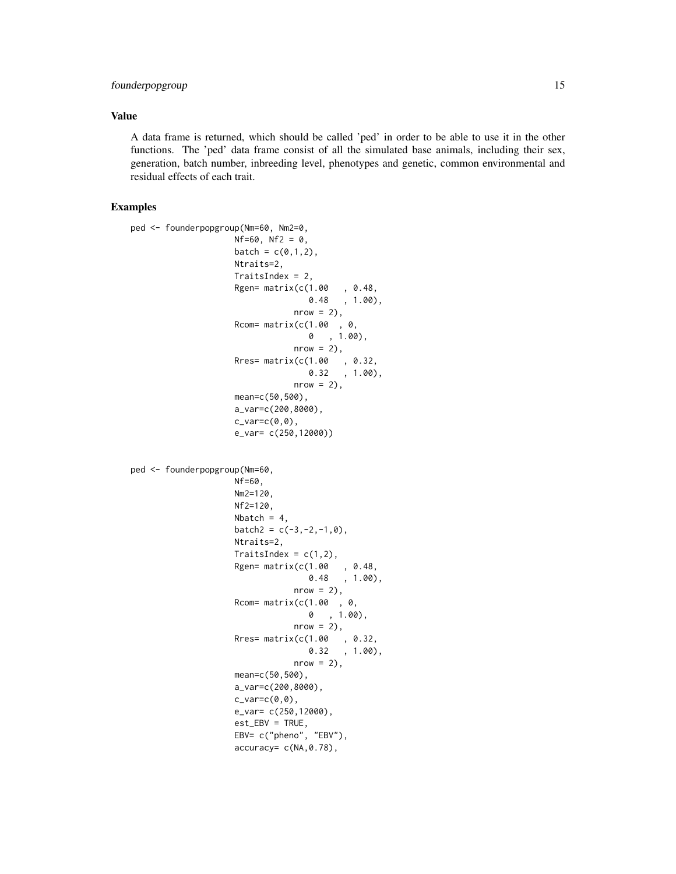## founderpopgroup 15

### Value

A data frame is returned, which should be called 'ped' in order to be able to use it in the other functions. The 'ped' data frame consist of all the simulated base animals, including their sex, generation, batch number, inbreeding level, phenotypes and genetic, common environmental and residual effects of each trait.

```
ped <- founderpopgroup(Nm=60, Nm2=0,
                     Nf=60, Nf2 = 0,
                     batch = c(0,1,2),
                     Ntraits=2,
                     TraitsIndex = 2,
                     Rgen= matrix(c(1.00 , 0.48,
                                     0.48 , 1.00),
                                  nrow = 2,
                     Rcom= matrix(c(1.00 , 0,
                                    0 , 1.00),
                                  nrow = 2,
                     Rres= matrix(c(1.00 , 0.32,
                                     0.32 , 1.00),
                                  nrow = 2,
                     mean=c(50,500),
                     a_var=c(200,8000),
                     c_var=c(\emptyset,\emptyset),
                     e_var= c(250,12000))
ped <- founderpopgroup(Nm=60,
                     Nf=60,
                     Nm2=120,
                     Nf2=120,
                     Nbatch = 4,
                     batch2 = c(-3, -2, -1, 0),
                     Ntraits=2,
                     TraitsIndex = c(1,2),
                     Rgen= matrix(c(1.00 , 0.48,
                                     0.48 , 1.00),
                                  nrow = 2,
                     Rcom= matrix(c(1.00, 0, 0))0 , 1.00),
                                  nrow = 2,
                     Rres= matrix(c(1.00 , 0.32,
                                     0.32 , 1.00),
                                  nrow = 2,
                     mean=c(50,500),
                     a_var=c(200,8000),
                     c_var=c(\emptyset,\emptyset),
                     e_var= c(250,12000),
                     est_EBV = TRUE,
                     EBV= c("pheno", "EBV"),
                     accuracy= c(NA,0.78),
```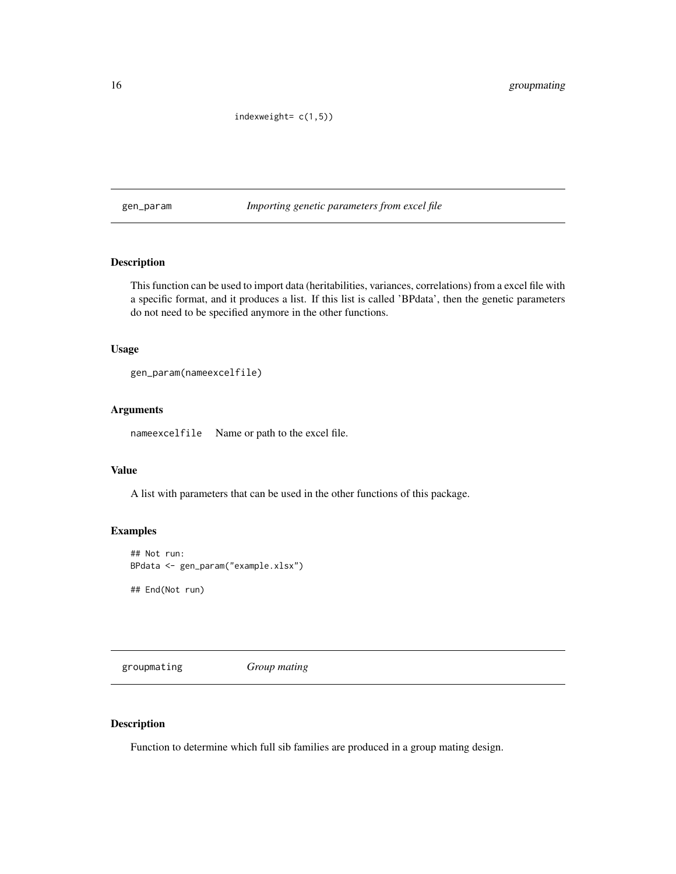indexweight= c(1,5))

<span id="page-15-0"></span>gen\_param *Importing genetic parameters from excel file*

## Description

This function can be used to import data (heritabilities, variances, correlations) from a excel file with a specific format, and it produces a list. If this list is called 'BPdata', then the genetic parameters do not need to be specified anymore in the other functions.

#### Usage

```
gen_param(nameexcelfile)
```
#### Arguments

nameexcelfile Name or path to the excel file.

## Value

A list with parameters that can be used in the other functions of this package.

## Examples

```
## Not run:
BPdata <- gen_param("example.xlsx")
```
## End(Not run)

groupmating *Group mating*

#### Description

Function to determine which full sib families are produced in a group mating design.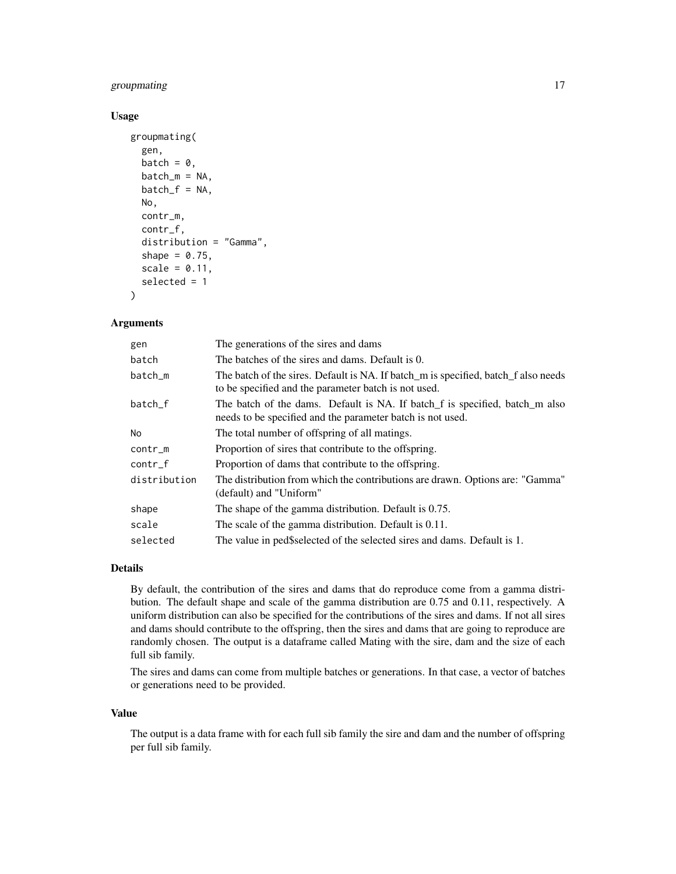## groupmating 17

## Usage

```
groupmating(
  gen,
  batch = \theta,
 batch_m = NA,batch_f = NA,
 No,
  contr_m,
  contr_f,
  distribution = "Gamma",
  shape = 0.75,
  scale = 0.11,
  selected = 1
)
```
## Arguments

| gen          | The generations of the sires and dams                                                                                                      |
|--------------|--------------------------------------------------------------------------------------------------------------------------------------------|
| batch        | The batches of the sires and dams. Default is 0.                                                                                           |
| batch_m      | The batch of the sires. Default is NA. If batch m is specified, batch f also needs<br>to be specified and the parameter batch is not used. |
| batch f      | The batch of the dams. Default is NA. If batch f is specified, batch m also<br>needs to be specified and the parameter batch is not used.  |
| No.          | The total number of offspring of all matings.                                                                                              |
| $contr_m$    | Proportion of sires that contribute to the offspring.                                                                                      |
| $contr_f$    | Proportion of dams that contribute to the offspring.                                                                                       |
| distribution | The distribution from which the contributions are drawn. Options are: "Gamma"<br>(default) and "Uniform"                                   |
| shape        | The shape of the gamma distribution. Default is 0.75.                                                                                      |
| scale        | The scale of the gamma distribution. Default is 0.11.                                                                                      |
| selected     | The value in ped\$selected of the selected sires and dams. Default is 1.                                                                   |

#### Details

By default, the contribution of the sires and dams that do reproduce come from a gamma distribution. The default shape and scale of the gamma distribution are 0.75 and 0.11, respectively. A uniform distribution can also be specified for the contributions of the sires and dams. If not all sires and dams should contribute to the offspring, then the sires and dams that are going to reproduce are randomly chosen. The output is a dataframe called Mating with the sire, dam and the size of each full sib family.

The sires and dams can come from multiple batches or generations. In that case, a vector of batches or generations need to be provided.

#### Value

The output is a data frame with for each full sib family the sire and dam and the number of offspring per full sib family.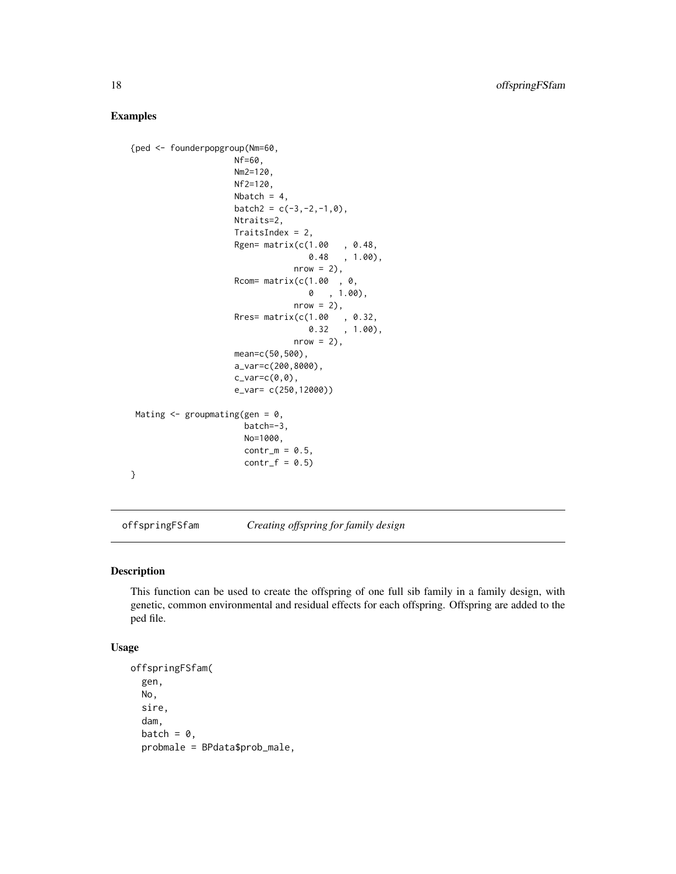## Examples

```
{ped <- founderpopgroup(Nm=60,
                     Nf=60,
                     Nm2=120,
                     Nf2=120,
                     Nbatch = 4,
                     batch2 = c(-3, -2, -1, 0),
                     Ntraits=2,
                     TraitsIndex = 2,
                     Rgen= matrix(c(1.00 , 0.48,
                                    0.48 , 1.00),
                                  nrow = 2,
                     Rcom= matrix(c(1.00, 0, 0),
                                    0 , 1.00),
                                  nrow = 2,
                     Rres= matrix(c(1.00 , 0.32,
                                    0.32 , 1.00),
                                  nrow = 2,
                     mean=c(50,500),
                     a_var=c(200,8000),
                     c_var=c(\emptyset,\emptyset),
                     e_var= c(250,12000))
Mating \leq groupmating(gen = 0,
                       batch=-3,
                       No=1000,
                       contr_m = 0.5,
                       contr_f = 0.5}
```
offspringFSfam *Creating offspring for family design*

## Description

This function can be used to create the offspring of one full sib family in a family design, with genetic, common environmental and residual effects for each offspring. Offspring are added to the ped file.

#### Usage

```
offspringFSfam(
  gen,
  No,
  sire,
  dam,
  batch = \theta,
  probmale = BPdata$prob_male,
```
<span id="page-17-0"></span>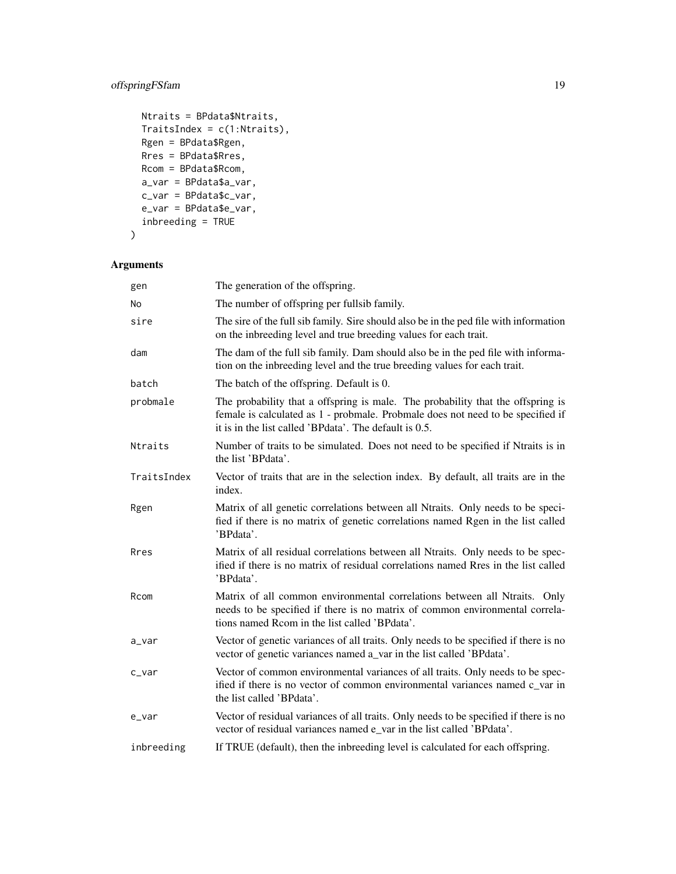## offspringFSfam 19

```
Ntraits = BPdata$Ntraits,
TraitsIndex = c(1:Ntraits),
Rgen = BPdata$Rgen,
Rres = BPdata$Rres,
Rcom = BPdata$Rcom,
a_var = BPdata$a_var,
c_var = BPdata$c_var,
e_var = BPdata$e_var,
inbreeding = TRUE
```

```
\mathcal{L}
```

| gen         | The generation of the offspring.                                                                                                                                                                                             |
|-------------|------------------------------------------------------------------------------------------------------------------------------------------------------------------------------------------------------------------------------|
| No          | The number of offspring per fullsib family.                                                                                                                                                                                  |
| sire        | The sire of the full sib family. Sire should also be in the ped file with information<br>on the inbreeding level and true breeding values for each trait.                                                                    |
| dam         | The dam of the full sib family. Dam should also be in the ped file with informa-<br>tion on the inbreeding level and the true breeding values for each trait.                                                                |
| batch       | The batch of the offspring. Default is 0.                                                                                                                                                                                    |
| probmale    | The probability that a offspring is male. The probability that the offspring is<br>female is calculated as 1 - probmale. Probmale does not need to be specified if<br>it is in the list called 'BPdata'. The default is 0.5. |
| Ntraits     | Number of traits to be simulated. Does not need to be specified if Ntraits is in<br>the list 'BPdata'.                                                                                                                       |
| TraitsIndex | Vector of traits that are in the selection index. By default, all traits are in the<br>index.                                                                                                                                |
| Rgen        | Matrix of all genetic correlations between all Ntraits. Only needs to be speci-<br>fied if there is no matrix of genetic correlations named Rgen in the list called<br>'BPdata'.                                             |
| Rres        | Matrix of all residual correlations between all Ntraits. Only needs to be spec-<br>ified if there is no matrix of residual correlations named Rres in the list called<br>'BPdata'.                                           |
| Rcom        | Matrix of all common environmental correlations between all Ntraits. Only<br>needs to be specified if there is no matrix of common environmental correla-<br>tions named Rcom in the list called 'BPdata'.                   |
| a_var       | Vector of genetic variances of all traits. Only needs to be specified if there is no<br>vector of genetic variances named a_var in the list called 'BPdata'.                                                                 |
| c_var       | Vector of common environmental variances of all traits. Only needs to be spec-<br>ified if there is no vector of common environmental variances named c var in<br>the list called 'BPdata'.                                  |
| e_var       | Vector of residual variances of all traits. Only needs to be specified if there is no<br>vector of residual variances named e_var in the list called 'BPdata'.                                                               |
| inbreeding  | If TRUE (default), then the inbreeding level is calculated for each offspring.                                                                                                                                               |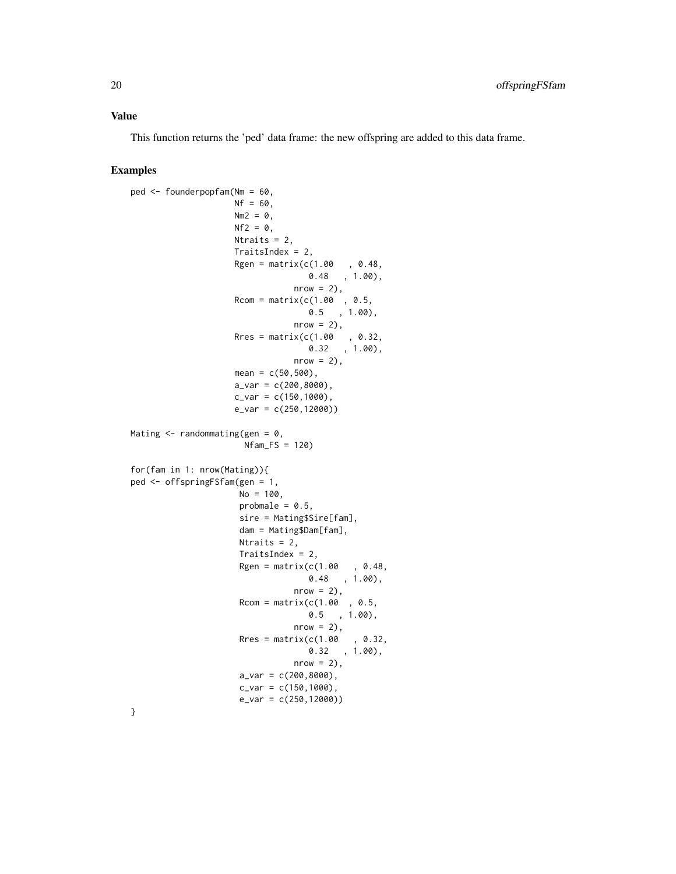#### Value

This function returns the 'ped' data frame: the new offspring are added to this data frame.

```
ped <- founderpopfam(Nm = 60,
                    Nf = 60,
                    Nm2 = 0,
                    Nf2 = 0,
                    Ntraits = 2,
                    TraitsIndex = 2,
                    Rgen = matrix(c(1.00, 0.48,0.48 , 1.00),
                                nrow = 2,
                    Rcom = matrix(c(1.00, 0.5,0.5 , 1.00),
                                nrow = 2,
                    Rres = matrix(c(1.00, 0.32,0.32 , 1.00),
                                nrow = 2,
                    mean = c(50, 500),
                    a_Var = c(200, 8000),
                    c_{var} = c(150, 1000),
                    e_var = c(250,12000))
Mating \leq randommating(gen = 0,
                      Nfam_FS = 120)
for(fam in 1: nrow(Mating)){
ped <- offspringFSfam(gen = 1,
                     No = 100,probmale = 0.5,
                     sire = Mating$Sire[fam],
                     dam = Mating$Dam[fam],
                     Ntraits = 2,
                     TraitsIndex = 2,
                     Rgen = matrix(c(1.00, 0.48,0.48 , 1.00),
                                nrow = 2,
                     Rcom = matrix(c(1.00, 0.5, 0.00))0.5 , 1.00),
                                nrow = 2,
                     Rres = matrix(c(1.00, 0.32,0.32 , 1.00),
                                nrow = 2,
                     a_{var} = c(200, 8000),
                     c_{var} = c(150, 1000),
                     e_var = c(250,12000))
```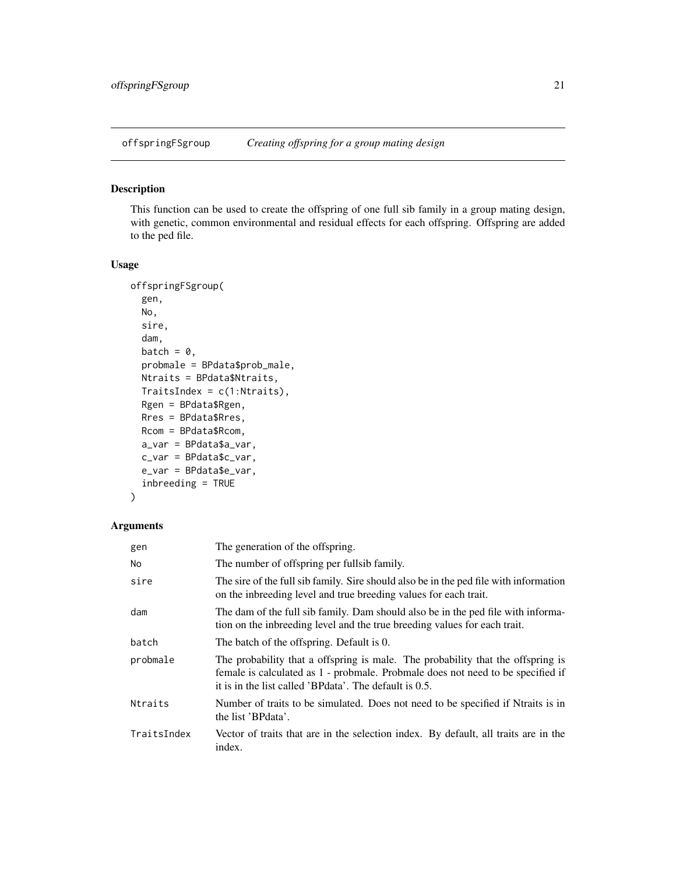<span id="page-20-0"></span>

## Description

This function can be used to create the offspring of one full sib family in a group mating design, with genetic, common environmental and residual effects for each offspring. Offspring are added to the ped file.

#### Usage

```
offspringFSgroup(
  gen,
 No,
  sire,
  dam,
 batch = \theta,
 probmale = BPdata$prob_male,
 Ntraits = BPdata$Ntraits,
  TraitsIndex = c(1:Ntraits),
 Rgen = BPdata$Rgen,
 Rres = BPdata$Rres,
 Rcom = BPdata$Rcom,
 a_var = BPdata$a_var,
  c_var = BPdata$c_var,
  e_var = BPdata$e_var,
  inbreeding = TRUE
)
```

| gen         | The generation of the offspring.                                                                                                                                                                                               |
|-------------|--------------------------------------------------------------------------------------------------------------------------------------------------------------------------------------------------------------------------------|
| No          | The number of offspring per fullsib family.                                                                                                                                                                                    |
| sire        | The sire of the full sib family. Sire should also be in the ped file with information<br>on the inbreeding level and true breeding values for each trait.                                                                      |
| dam         | The dam of the full sib family. Dam should also be in the ped file with informa-<br>tion on the inbreeding level and the true breeding values for each trait.                                                                  |
| batch       | The batch of the offspring. Default is 0.                                                                                                                                                                                      |
| probmale    | The probability that a offspring is male. The probability that the offspring is<br>female is calculated as 1 - probinale. Probinale does not need to be specified if<br>it is in the list called 'BPdata'. The default is 0.5. |
| Ntraits     | Number of traits to be simulated. Does not need to be specified if Ntraits is in<br>the list 'BPdata'.                                                                                                                         |
| TraitsIndex | Vector of traits that are in the selection index. By default, all traits are in the<br>index.                                                                                                                                  |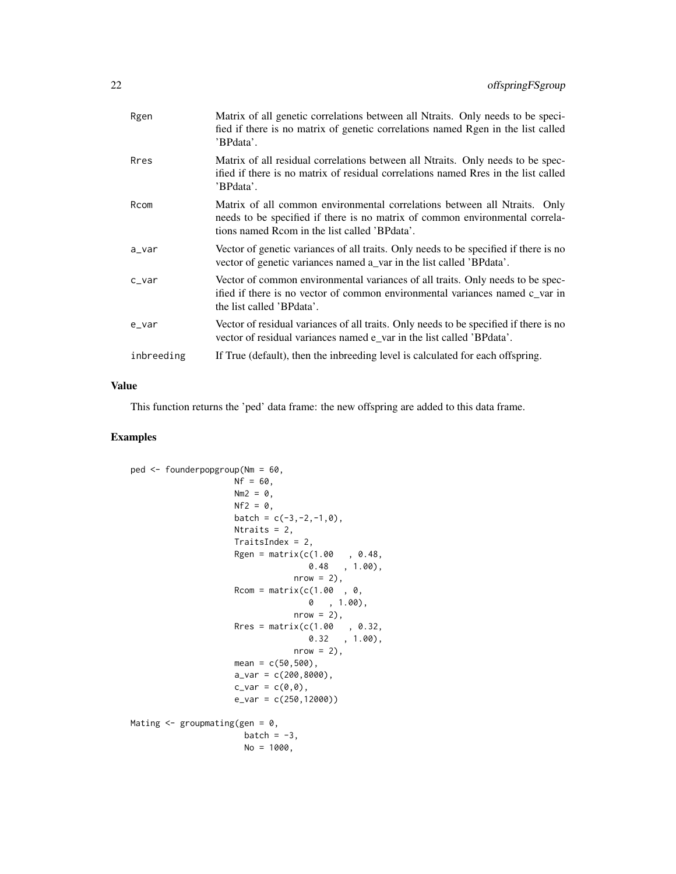| Rgen       | Matrix of all genetic correlations between all Ntraits. Only needs to be speci-<br>fied if there is no matrix of genetic correlations named Rgen in the list called<br>'BPdata'.                           |
|------------|------------------------------------------------------------------------------------------------------------------------------------------------------------------------------------------------------------|
| Rres       | Matrix of all residual correlations between all Ntraits. Only needs to be spec-<br>ified if there is no matrix of residual correlations named Rres in the list called<br>'BPdata'.                         |
| Rcom       | Matrix of all common environmental correlations between all Ntraits. Only<br>needs to be specified if there is no matrix of common environmental correla-<br>tions named Rcom in the list called 'BPdata'. |
| a_var      | Vector of genetic variances of all traits. Only needs to be specified if there is no<br>vector of genetic variances named a_var in the list called 'BPdata'.                                               |
| $c$ _var   | Vector of common environmental variances of all traits. Only needs to be spec-<br>ified if there is no vector of common environmental variances named c var in<br>the list called 'BPdata'.                |
| $e_Var$    | Vector of residual variances of all traits. Only needs to be specified if there is no<br>vector of residual variances named e_var in the list called 'BPdata'.                                             |
| inbreeding | If True (default), then the inbreeding level is calculated for each offspring.                                                                                                                             |

## Value

This function returns the 'ped' data frame: the new offspring are added to this data frame.

```
ped <- founderpopgroup(Nm = 60,
                     Nf = 60,Nm2 = 0,Nf2 = 0,
                     batch = c(-3, -2, -1, 0),
                     Ntraits = 2,
                     TraitsIndex = 2,
                     Rgen = matrix(c(1.00 , 0.48,0.48 , 1.00),
                                  nrow = 2,
                     Rcom = matrix(c(1.00, 0, 0))0 , 1.00),
                                  nrow = 2,
                      Rres = matrix(c(1.00 , 0.32,
                                      0.32 , 1.00),
                                  nrow = 2,
                     mean = c(50, 500),
                     a_{var} = c(200, 8000),
                     c_{var} = c(\emptyset, \emptyset),
                     e_var = c(250,12000))
Mating \leq groupmating(gen = 0,
                       batch = -3,
                       No = 1000,
```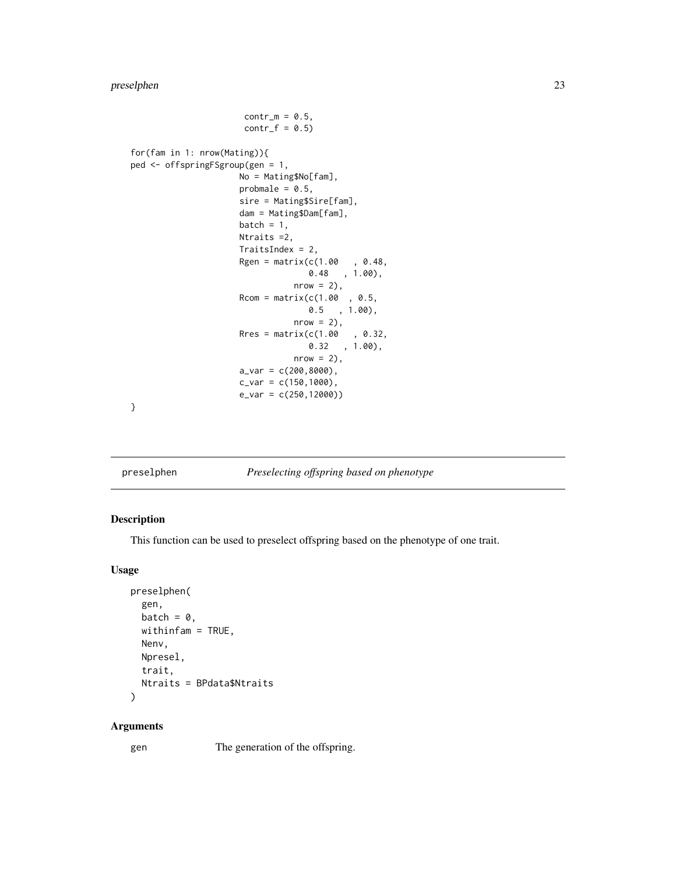## <span id="page-22-0"></span>preselphen 23

```
contr_m = 0.5,
                      contr_f = 0.5for(fam in 1: nrow(Mating)){
ped <- offspringFSgroup(gen = 1,
                     No = Mating$No[fam],
                     probmale = 0.5,
                     sire = Mating$Sire[fam],
                     dam = Mating$Dam[fam],
                     batch = 1,
                     Ntraits =2,
                     TraitsIndex = 2,
                      Rgen = matrix(c(1.00, 0.48,0.48 , 1.00),
                                nrow = 2,
                     Rcom = matrix(c(1.00, 0.5,0.5 , 1.00),
                                nrow = 2,
                     Rres = matrix(c(1.00, 0.32,0.32 , 1.00),
                                nrow = 2,
                     a_{var} = c(200, 8000),
                     c_{var} = c(150, 1000),
                     e_var = c(250,12000))
```
}

preselphen *Preselecting offspring based on phenotype*

## Description

This function can be used to preselect offspring based on the phenotype of one trait.

#### Usage

```
preselphen(
  gen,
  batch = \theta,
  withinfam = TRUE,
  Nenv,
  Npresel,
  trait,
  Ntraits = BPdata$Ntraits
)
```
#### Arguments

gen The generation of the offspring.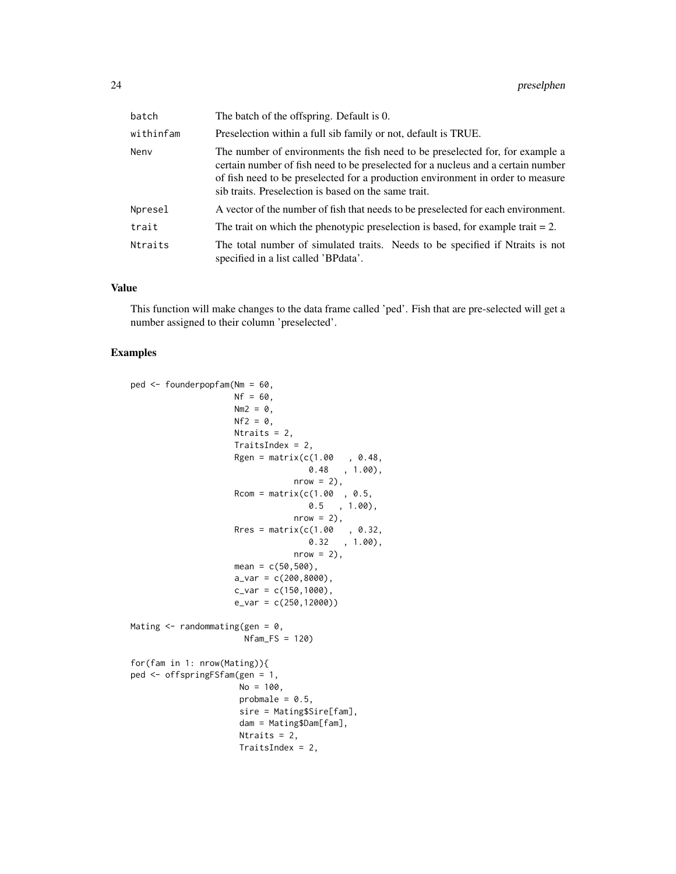| batch     | The batch of the offspring. Default is 0.                                                                                                                                                                                                                                                                    |
|-----------|--------------------------------------------------------------------------------------------------------------------------------------------------------------------------------------------------------------------------------------------------------------------------------------------------------------|
| withinfam | Preselection within a full sib family or not, default is TRUE.                                                                                                                                                                                                                                               |
| Nenv      | The number of environments the fish need to be preselected for, for example a<br>certain number of fish need to be preselected for a nucleus and a certain number<br>of fish need to be preselected for a production environment in order to measure<br>sib traits. Preselection is based on the same trait. |
| Npresel   | A vector of the number of fish that needs to be preselected for each environment.                                                                                                                                                                                                                            |
| trait     | The trait on which the phenotypic preselection is based, for example trait $= 2$ .                                                                                                                                                                                                                           |
| Ntraits   | The total number of simulated traits. Needs to be specified if Ntraits is not<br>specified in a list called 'BPdata'.                                                                                                                                                                                        |

#### Value

This function will make changes to the data frame called 'ped'. Fish that are pre-selected will get a number assigned to their column 'preselected'.

```
ped <- founderpopfam(Nm = 60,
                    Nf = 60.
                    Nm2 = 0,
                    Nf2 = 0,
                    Ntraits = 2,
                    TraitsIndex = 2,
                    Rgen = matrix(c(1.00, 0.48,0.48 , 1.00),
                                nrow = 2,
                    Rcom = matrix(c(1.00, 0.5,0.5 , 1.00),
                                nrow = 2,
                    Rres = matrix(c(1.00, 0.32,0.32 , 1.00),
                                nrow = 2,
                    mean = c(50, 500),
                    a_Var = c(200, 8000),
                    c_{var} = c(150, 1000),
                    e_var = c(250,12000))
Mating \leq randommating(gen = 0,
                      Nfam_FS = 120)
for(fam in 1: nrow(Mating)){
ped <- offspringFSfam(gen = 1,
                     No = 100,probmale = 0.5,
                     sire = Mating$Sire[fam],
                     dam = Mating$Dam[fam],
                     Ntraits = 2,
                     TraitsIndex = 2,
```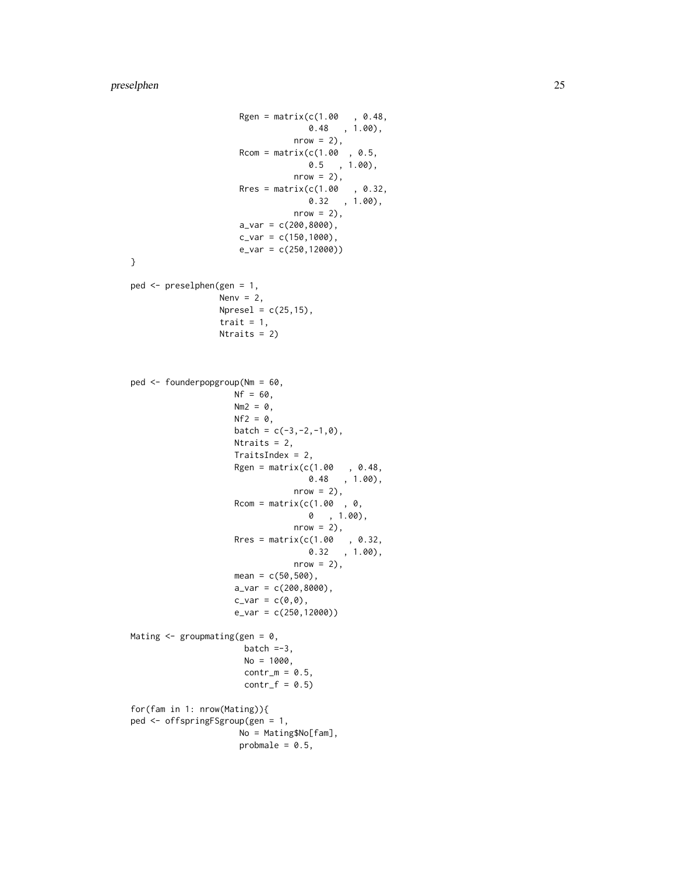```
Rgen = matrix(c(1.00, 0.48,0.48 , 1.00),
                                 nrow = 2,
                      Rcom = matrix(c(1.00, 0.5,0.5 , 1.00),
                                 nrow = 2,
                      Rres = matrix(c(1.00, 0.32,0.32 , 1.00),
                                 nrow = 2),
                      a_{var} = c(200, 8000),
                      c_{var} = c(150, 1000),
                      e_var = c(250,12000))
}
ped <- preselphen(gen = 1,
                  Nenv = 2,
                  Npresel = c(25, 15),
                  trait = 1,Ntraits = 2)
ped <- founderpopgroup(Nm = 60,
                     Nf = 60,
                     Nm2 = 0,
                     Nf2 = 0,
                     batch = c(-3, -2, -1, 0),
                     Ntraits = 2,
                     TraitsIndex = 2,
                     Rgen = matrix(c(1.00, 0.48, 0.48)0.48 , 1.00),
                                 nrow = 2,
                     Rcom = matrix(c(1.00, 0, 0))0 , 1.00),
                                 nrow = 2,
                     Rres = matrix(c(1.00, 0.32,0.32 , 1.00),
                                 nrow = 2,
                     mean = c(50, 500),
                     a_{var} = c(200, 8000),
                     c_var = c(\emptyset, \emptyset),
                     e_var = c(250,12000))
Mating \leq groupmating(gen = 0,
                       batch =-3,
                       No = 1000,contr_m = 0.5,
                       contr_f = 0.5for(fam in 1: nrow(Mating)){
ped <- offspringFSgroup(gen = 1,
                      No = Mating$No[fam],
                      probmale = 0.5,
```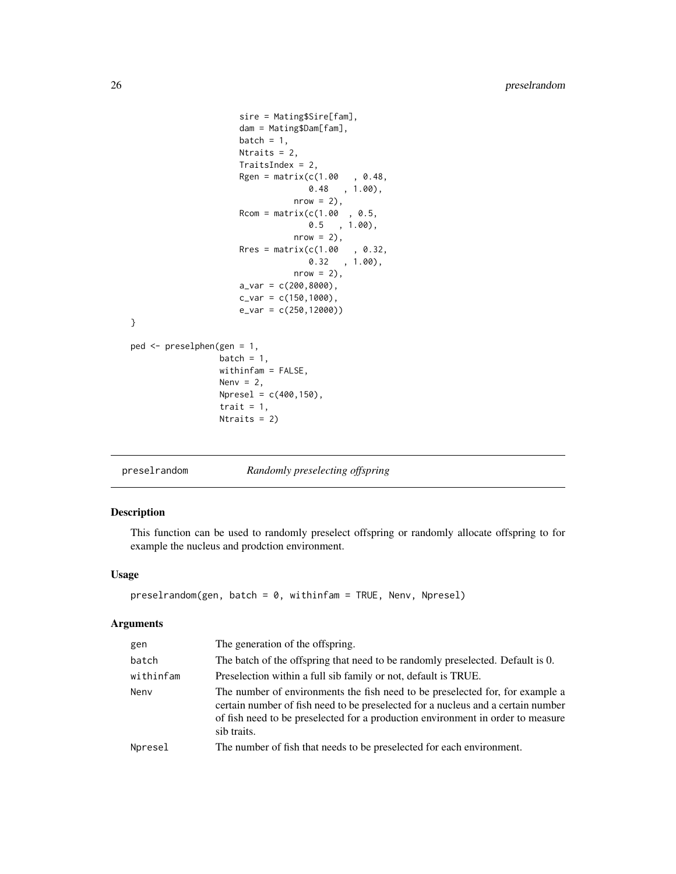```
sire = Mating$Sire[fam],
                     dam = Mating$Dam[fam],
                     batch = 1,Ntraits = 2,
                     TraitsIndex = 2,
                     Rgen = matrix(c(1.00, 0.48,0.48 , 1.00),
                                nrow = 2),
                     Rcom = matrix(c(1.00, 0.5,0.5 , 1.00),
                                nrow = 2,
                     Rres = matrix(c(1.00, 0.32,0.32, 1.00),
                                nrow = 2,
                     a_{var} = c(200, 8000),
                     c_{var} = c(150, 1000),
                     e_var = c(250,12000))
}
ped <- preselphen(gen = 1,
                 batch = 1,
                 withinfam = FALSE,
                 Nenv = 2,
                 Npresel = c(400,150),
                 trait = 1,Ntraits = 2)
```

```
preselrandom Randomly preselecting offspring
```
## Description

This function can be used to randomly preselect offspring or randomly allocate offspring to for example the nucleus and prodction environment.

#### Usage

```
preselrandom(gen, batch = 0, within fam = TRUE, Nenv, Npresel)
```

| gen       | The generation of the offspring.                                                                                                                                                                                                                                    |
|-----------|---------------------------------------------------------------------------------------------------------------------------------------------------------------------------------------------------------------------------------------------------------------------|
| batch     | The batch of the offspring that need to be randomly preselected. Default is 0.                                                                                                                                                                                      |
| withinfam | Preselection within a full sib family or not, default is TRUE.                                                                                                                                                                                                      |
| Neny      | The number of environments the fish need to be preselected for, for example a<br>certain number of fish need to be preselected for a nucleus and a certain number<br>of fish need to be preselected for a production environment in order to measure<br>sib traits. |
| Npresel   | The number of fish that needs to be preselected for each environment.                                                                                                                                                                                               |
|           |                                                                                                                                                                                                                                                                     |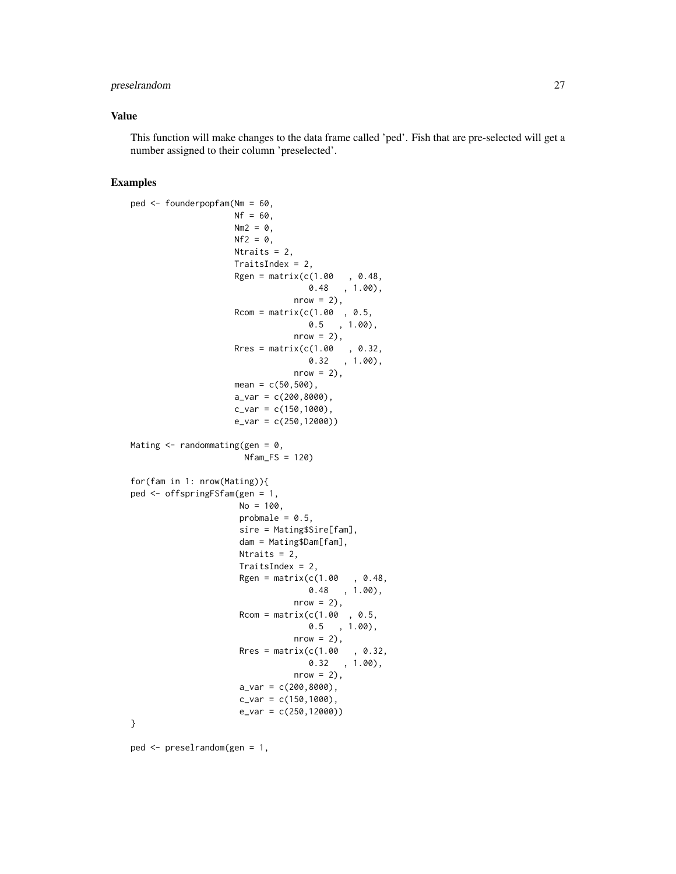## preselrandom 27

#### Value

This function will make changes to the data frame called 'ped'. Fish that are pre-selected will get a number assigned to their column 'preselected'.

#### Examples

```
ped <- founderpopfam(Nm = 60,
                    Nf = 60,
                    Nm2 = 0.
                    Nf2 = 0.
                    Ntraits = 2,
                    TraitsIndex = 2,
                    Rgen = matrix(c(1.00, 0.48, 0.48)0.48 , 1.00),
                                nrow = 2,
                    Rcom = matrix(c(1.00, 0.5,0.5 , 1.00),
                                nrow = 2,
                    Rres = matrix(c(1.00, 0.32,0.32 , 1.00),
                                nrow = 2,
                    mean = c(50, 500),
                    a_Var = c(200, 8000),
                    c_{var} = c(150, 1000),
                    e_var = c(250,12000))
Mating \leq randommating(gen = 0,
                      Nfam_FS = 120for(fam in 1: nrow(Mating)){
ped <- offspringFSfam(gen = 1,
                     No = 100,probmale = 0.5,
                     sire = Mating$Sire[fam],
                     dam = Mating$Dam[fam],
                     Ntraits = 2,
                     TraitsIndex = 2,
                     Rgen = matrix(c(1.00, 0.48,0.48 , 1.00),
                                nrow = 2,
                     Rcom = matrix(c(1.00, 0.5, 0.00))0.5 , 1.00),
                                nrow = 2,
                     Rres = matrix(c(1.00, 0.32,0.32 , 1.00),
                                nrow = 2,
                     a_v = c(200, 8000),
                     c_{var} = c(150, 1000),
                     e_var = c(250,12000))
}
```
ped <- preselrandom(gen = 1,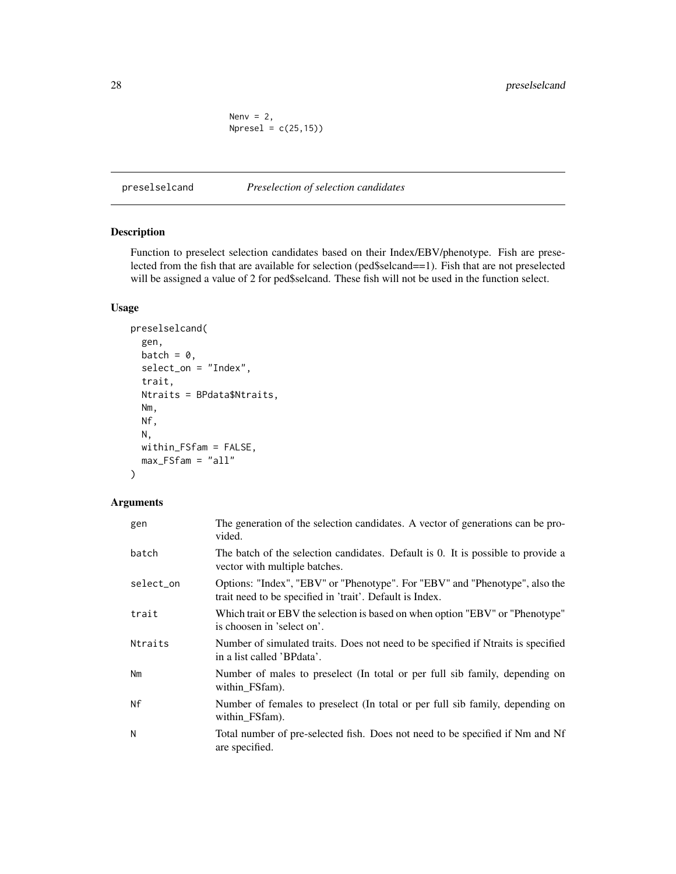Nen $v = 2$ ,  $Npresel = c(25, 15)$ 

<span id="page-27-0"></span>preselselcand *Preselection of selection candidates*

## Description

Function to preselect selection candidates based on their Index/EBV/phenotype. Fish are preselected from the fish that are available for selection (ped\$selcand==1). Fish that are not preselected will be assigned a value of 2 for ped\$selcand. These fish will not be used in the function select.

#### Usage

```
preselselcand(
  gen,
 batch = \theta,
  select_on = "Index",
  trait,
 Ntraits = BPdata$Ntraits,
 Nm,
 Nf,
 N,
 within_FSfam = FALSE,
 max_FSfam = "all"
)
```

| gen       | The generation of the selection candidates. A vector of generations can be pro-<br>vided.                                               |
|-----------|-----------------------------------------------------------------------------------------------------------------------------------------|
| batch     | The batch of the selection candidates. Default is 0. It is possible to provide a<br>vector with multiple batches.                       |
| select_on | Options: "Index", "EBV" or "Phenotype". For "EBV" and "Phenotype", also the<br>trait need to be specified in 'trait'. Default is Index. |
| trait     | Which trait or EBV the selection is based on when option "EBV" or "Phenotype"<br>is choosen in 'select on'.                             |
| Ntraits   | Number of simulated traits. Does not need to be specified if Ntraits is specified<br>in a list called 'BPdata'.                         |
| Nm        | Number of males to preselect (In total or per full sib family, depending on<br>within_FSfam).                                           |
| Nf        | Number of females to preselect (In total or per full sib family, depending on<br>within_FSfam).                                         |
| N         | Total number of pre-selected fish. Does not need to be specified if Nm and Nf<br>are specified.                                         |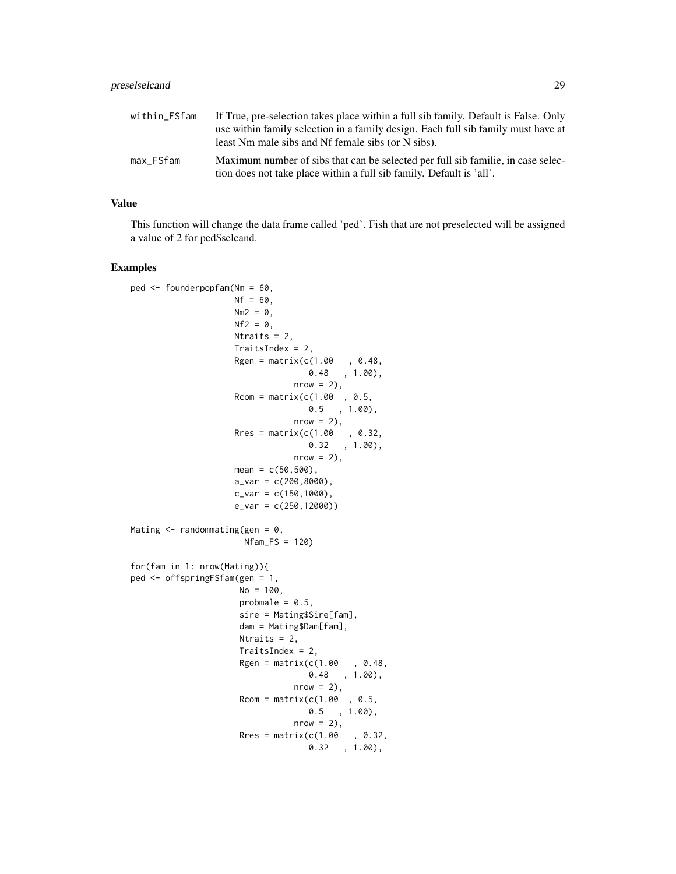| within FSfam | If True, pre-selection takes place within a full sib family. Default is False. Only |
|--------------|-------------------------------------------------------------------------------------|
|              | use within family selection in a family design. Each full sib family must have at   |
|              | least Nm male sibs and Nf female sibs (or N sibs).                                  |
| max_FSfam    | Maximum number of sibs that can be selected per full sib familie, in case selec-    |
|              | tion does not take place within a full sib family. Default is 'all'.                |

#### Value

This function will change the data frame called 'ped'. Fish that are not preselected will be assigned a value of 2 for ped\$selcand.

```
ped <- founderpopfam(Nm = 60,
                    Nf = 60.
                    Nm2 = 0.
                    Nf2 = 0,
                    Ntraits = 2,
                    TraitsIndex = 2,
                    Rgen = matrix(c(1.00, 0.48,0.48 , 1.00),
                               nrow = 2,
                    Rcom = matrix(c(1.00, 0.5, 0.5)0.5 , 1.00),
                                nrow = 2,
                    Rres = matrix(c(1.00, 0.32,0.32 , 1.00),
                                nrow = 2,
                    mean = c(50, 500),
                    a_Var = c(200, 8000),
                    c_{var} = c(150, 1000),
                    e_var = c(250,12000))
Mating \leq randommating(gen = 0,
                      Nfam_FS = 120)
for(fam in 1: nrow(Mating)){
ped <- offspringFSfam(gen = 1,
                     No = 100,probmale = 0.5,
                     sire = Mating$Sire[fam],
                     dam = Mating$Dam[fam],
                     Ntraits = 2,
                     TraitsIndex = 2,
                     Rgen = matrix(c(1.00, 0.48,0.48 , 1.00),
                                nrow = 2,
                     Rcom = matrix(c(1.00, 0.5,0.5 , 1.00),
                                nrow = 2,
                     Rres = matrix(c(1.00, 0.32,0.32 , 1.00),
```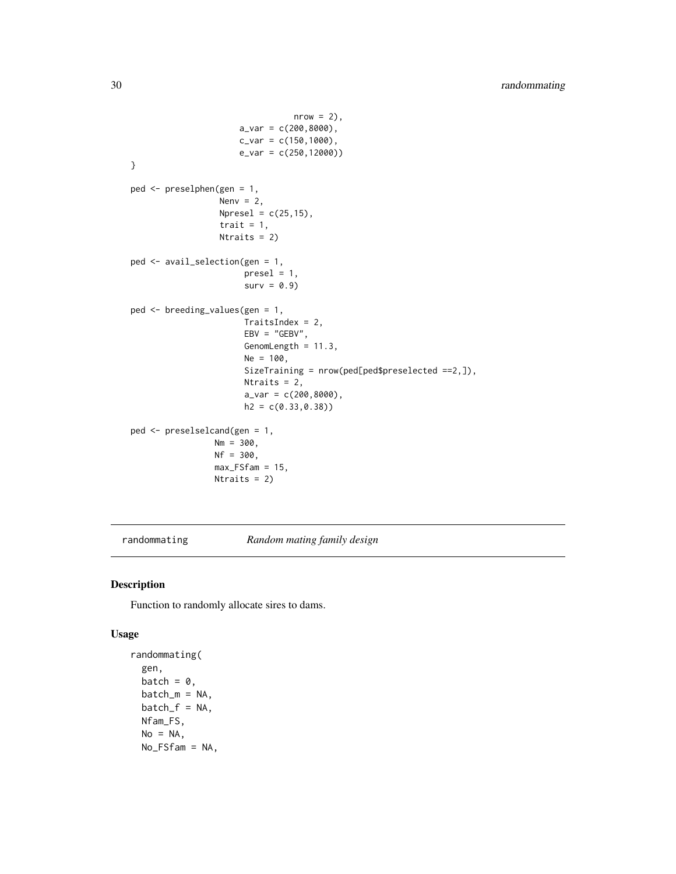```
nrow = 2,
                      a_{var} = c(200, 8000),
                      c_{var} = c(150, 1000),
                      e_var = c(250,12000))
}
ped <- preselphen(gen = 1,
                  Nenv = 2,
                  Npresel = c(25, 15),
                  trait = 1,
                  Ntraits = 2)
ped <- avail_selection(gen = 1,
                       presel = 1,
                       surv = 0.9ped <- breeding_values(gen = 1,
                       TraitsIndex = 2,
                       EBV = "GEBV",GenomLength = 11.3,
                       Ne = 100,
                       SizeTraining = nrow(ped[ped$preselected ==2,]),
                       Ntraits = 2,
                       a_{var} = c(200, 8000),
                       h2 = c(0.33, 0.38)ped <- preselselcand(gen = 1,
                 Nm = 300,Nf = 300,
                 max_FSfam = 15,
                 Ntraits = 2)
```
randommating *Random mating family design*

#### Description

Function to randomly allocate sires to dams.

## Usage

```
randommating(
  gen,
 batch = \theta,
 batch_m = NA,
 batch_f = NA,
 Nfam_FS,
 No = NA,
 No_FSfam = NA,
```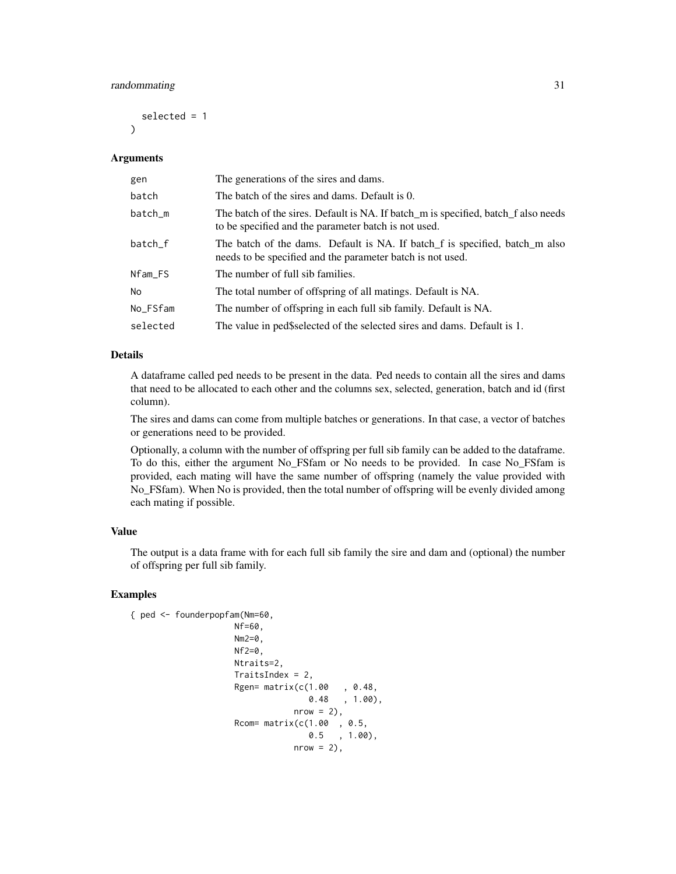## randommating 31

selected = 1

#### Arguments

 $\lambda$ 

| gen            | The generations of the sires and dams.                                                                                                     |
|----------------|--------------------------------------------------------------------------------------------------------------------------------------------|
| batch          | The batch of the sires and dams. Default is 0.                                                                                             |
| batch_m        | The batch of the sires. Default is NA. If batch_m is specified, batch_f also needs<br>to be specified and the parameter batch is not used. |
| batch_f        | The batch of the dams. Default is NA. If batch f is specified, batch m also<br>needs to be specified and the parameter batch is not used.  |
| Nfam_FS        | The number of full sib families.                                                                                                           |
| N <sub>o</sub> | The total number of offspring of all matings. Default is NA.                                                                               |
| No_FSfam       | The number of offspring in each full sib family. Default is NA.                                                                            |
| selected       | The value in ped\$selected of the selected sires and dams. Default is 1.                                                                   |

#### Details

A dataframe called ped needs to be present in the data. Ped needs to contain all the sires and dams that need to be allocated to each other and the columns sex, selected, generation, batch and id (first column).

The sires and dams can come from multiple batches or generations. In that case, a vector of batches or generations need to be provided.

Optionally, a column with the number of offspring per full sib family can be added to the dataframe. To do this, either the argument No\_FSfam or No needs to be provided. In case No\_FSfam is provided, each mating will have the same number of offspring (namely the value provided with No\_FSfam). When No is provided, then the total number of offspring will be evenly divided among each mating if possible.

#### Value

The output is a data frame with for each full sib family the sire and dam and (optional) the number of offspring per full sib family.

```
{ ped <- founderpopfam(Nm=60,
                    Nf=60,
                    Nm2=0,
                    Nf2=0,
                    Ntraits=2,
                    TraitsIndex = 2,
                    Rgen= matrix(c(1.00 , 0.48,
                                  0.48 , 1.00),
                                nrow = 2,
                    Rcom= matrix(c(1.00 , 0.5,
                                  0.5 , 1.00),
                                nrow = 2,
```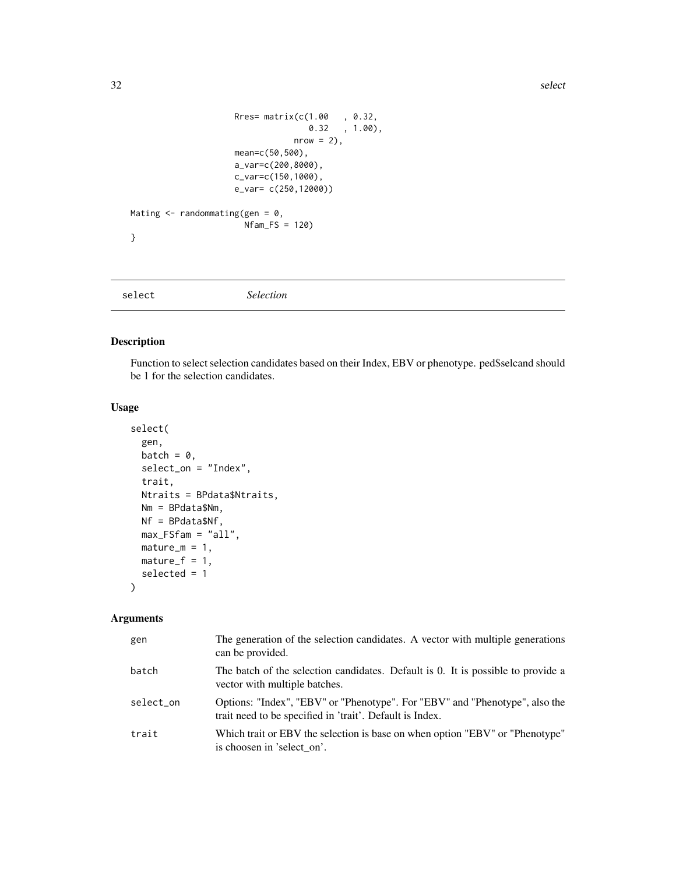<span id="page-31-0"></span>32 select

```
Rres= matrix(c(1.00 , 0.32,
                                   0.32 , 1.00),
                                nrow = 2,
                     mean=c(50,500),
                     a_var=c(200,8000),
                     c_var=c(150,1000),
                     e_var= c(250,12000))
Mating \leq randommating(gen = 0,
                      Nfam_FS = 120)
}
```
select *Selection*

## Description

Function to select selection candidates based on their Index, EBV or phenotype. ped\$selcand should be 1 for the selection candidates.

## Usage

```
select(
  gen,
 batch = \theta,
  select_on = "Index",
  trait,
 Ntraits = BPdata$Ntraits,
 Nm = BPdata$Nm,
 Nf = BPdata$Nf,
 max_FSfam = "all",mature_m = 1,
 matter_f = 1,
  selected = 1
)
```

| gen       | The generation of the selection candidates. A vector with multiple generations<br>can be provided.                                      |
|-----------|-----------------------------------------------------------------------------------------------------------------------------------------|
| batch     | The batch of the selection candidates. Default is 0. It is possible to provide a<br>vector with multiple batches.                       |
| select_on | Options: "Index", "EBV" or "Phenotype". For "EBV" and "Phenotype", also the<br>trait need to be specified in 'trait'. Default is Index. |
| trait     | Which trait or EBV the selection is base on when option "EBV" or "Phenotype"<br>is choosen in 'select on'.                              |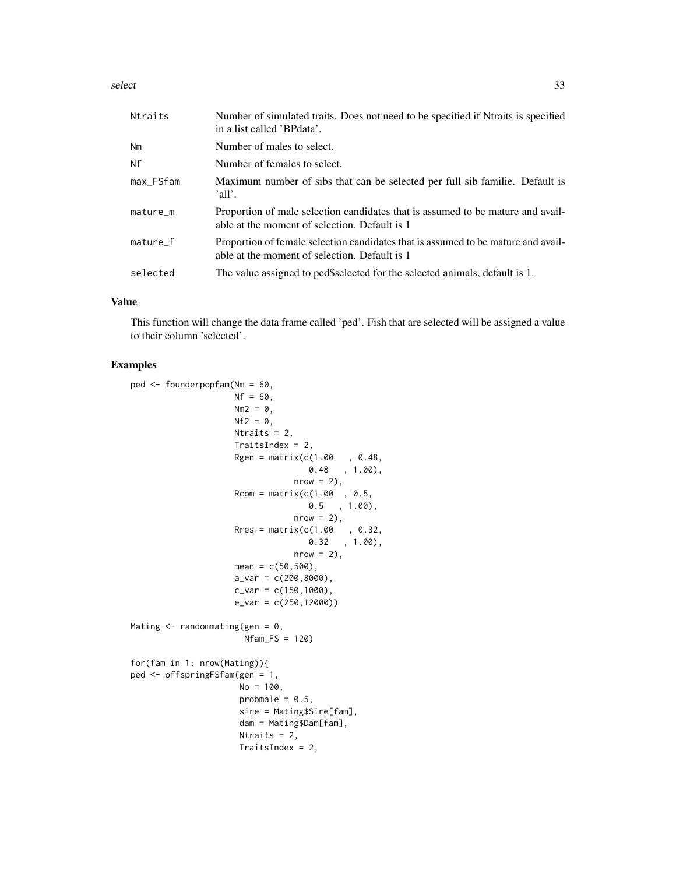select 33

| Ntraits   | Number of simulated traits. Does not need to be specified if Ntraits is specified<br>in a list called 'BPdata'.                    |
|-----------|------------------------------------------------------------------------------------------------------------------------------------|
| Nm        | Number of males to select.                                                                                                         |
| Nf        | Number of females to select.                                                                                                       |
| max_FSfam | Maximum number of sibs that can be selected per full sib familie. Default is<br>'all'.                                             |
| mature_m  | Proportion of male selection candidates that is assumed to be mature and avail-<br>able at the moment of selection. Default is 1   |
| mature_f  | Proportion of female selection candidates that is assumed to be mature and avail-<br>able at the moment of selection. Default is 1 |
| selected  | The value assigned to ped\$selected for the selected animals, default is 1.                                                        |

#### Value

This function will change the data frame called 'ped'. Fish that are selected will be assigned a value to their column 'selected'.

```
ped <- founderpopfam(Nm = 60,
                    Nf = 60.
                    Nm2 = 0,
                    Nf2 = 0,
                    Ntraits = 2,
                    TraitsIndex = 2,
                    Rgen = matrix(c(1.00, 0.48,0.48 , 1.00),
                                nrow = 2,
                    Rcom = matrix(c(1.00, 0.5,0.5 , 1.00),
                                nrow = 2,
                    Rres = matrix(c(1.00, 0.32,0.32 , 1.00),
                                nrow = 2,
                    mean = c(50, 500),
                    a_Var = c(200, 8000),
                    c_{var} = c(150, 1000),
                    e_var = c(250,12000))
Mating \leq randommating(gen = 0,
                      Nfam_FS = 120)
for(fam in 1: nrow(Mating)){
ped <- offspringFSfam(gen = 1,
                     No = 100,probmale = 0.5,
                     sire = Mating$Sire[fam],
                     dam = Mating$Dam[fam],
                     Ntraits = 2,
                     TraitsIndex = 2,
```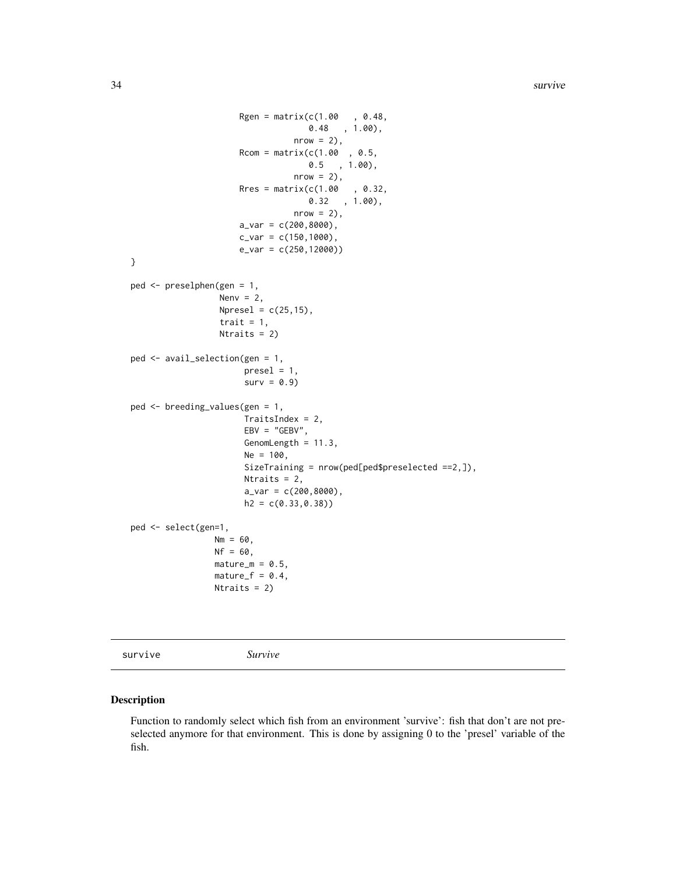```
Rgen = matrix(c(1.00, 0.48,0.48 , 1.00),
                                 nrow = 2),
                     Rcom = matrix(c(1.00, 0.5,0.5 , 1.00),
                                 nrow = 2,
                     Rres = matrix(c(1.00, 0.32,0.32 , 1.00),
                                 nrow = 2,
                     a_{var} = c(200, 8000),
                     c_{var} = c(150, 1000),
                     e_var = c(250,12000))
}
ped <- preselphen(gen = 1,
                 Nenv = 2,
                 Npresel = c(25, 15),
                  trait = 1,
                 Ntraits = 2)
ped <- avail_selection(gen = 1,
                      presel = 1,
                       surv = 0.9ped <- breeding_values(gen = 1,
                      TraitsIndex = 2,
                      EBV = "GEBV",GenomLength = 11.3,
                      Ne = 100,
                      SizeTraining = nrow(ped[ped$preselected ==2,]),
                      Ntraits = 2,
                      a_{var} = c(200, 8000),
                      h2 = c(0.33, 0.38)ped <- select(gen=1,
                 Nm = 60,
                 Nf = 60,mature_m = 0.5,
                 matter_f = 0.4,Ntraits = 2)
```
survive *Survive*

## Description

Function to randomly select which fish from an environment 'survive': fish that don't are not preselected anymore for that environment. This is done by assigning 0 to the 'presel' variable of the fish.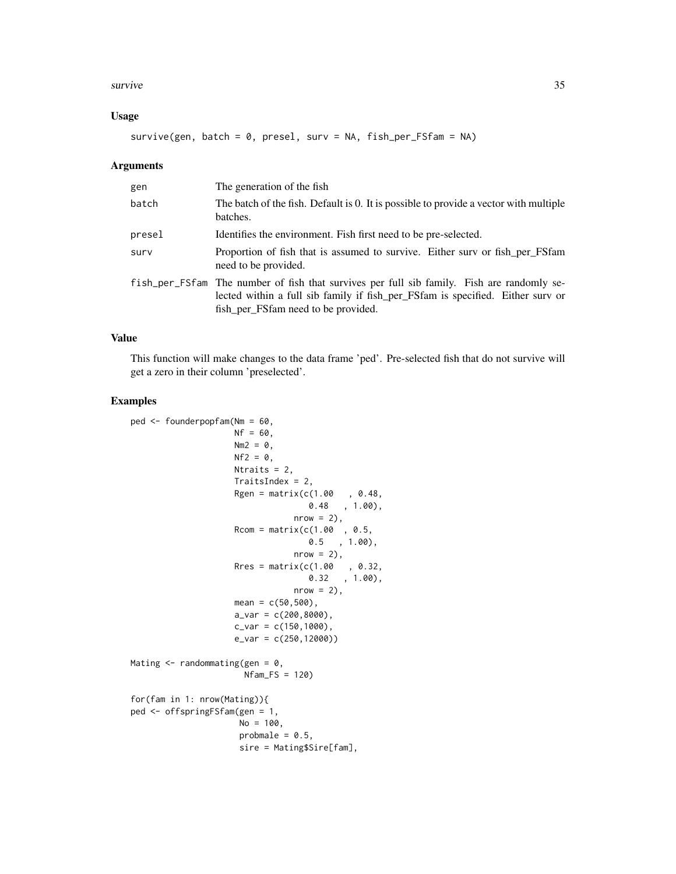#### survive 35

#### Usage

survive(gen, batch =  $0$ , presel, surv = NA, fish\_per\_FSfam = NA)

#### Arguments

| gen    | The generation of the fish                                                                                                                                                                                          |
|--------|---------------------------------------------------------------------------------------------------------------------------------------------------------------------------------------------------------------------|
| batch  | The batch of the fish. Default is 0. It is possible to provide a vector with multiple<br>batches.                                                                                                                   |
| presel | Identifies the environment. Fish first need to be pre-selected.                                                                                                                                                     |
| surv   | Proportion of fish that is assumed to survive. Either surv or fish per FSfam<br>need to be provided.                                                                                                                |
|        | fish_per_FSfam The number of fish that survives per full sib family. Fish are randomly se-<br>lected within a full sib family if fish_per_FSfam is specified. Either surv or<br>fish_per_FSfam need to be provided. |

#### Value

This function will make changes to the data frame 'ped'. Pre-selected fish that do not survive will get a zero in their column 'preselected'.

```
ped <- founderpopfam(Nm = 60,
                    Nf = 60,
                    Nm2 = 0,
                    Nf2 = 0,
                    Ntraits = 2,
                    TraitsIndex = 2,
                    Rgen = matrix(c(1.00, 0.48,0.48, 1.00),
                                nrow = 2,
                    Rcom = matrix(c(1.00, 0.5,0.5 , 1.00),
                                nrow = 2,
                    Rres = matrix(c(1.00, 0.32,0.32 , 1.00),
                                nrow = 2,
                    mean = c(50, 500),
                    a_{var} = c(200, 8000),
                    c_{var} = c(150, 1000),
                    e_var = c(250,12000))
Mating \leq randommating(gen = 0,
                      Nfam_FS = 120)
for(fam in 1: nrow(Mating)){
ped <- offspringFSfam(gen = 1,
                     No = 100,probmale = 0.5,
                     sire = Mating$Sire[fam],
```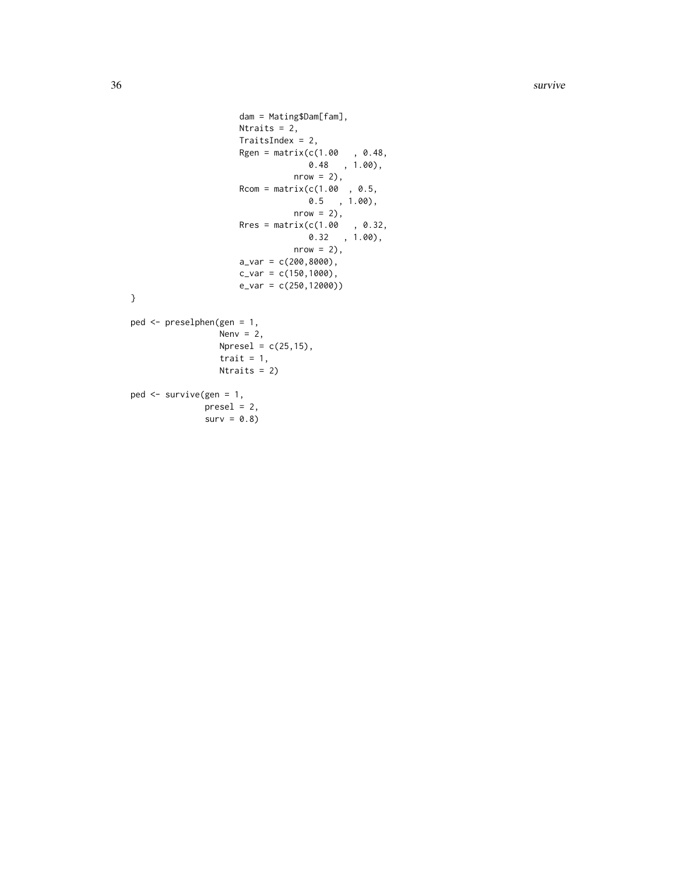```
dam = Mating$Dam[fam],
                     Ntraits = 2,
                     TraitsIndex = 2,
                     Rgen = matrix(c(1.00, 0.48, 0.48)0.48 , 1.00),
                                 nrow = 2,
                     Rcom = matrix(c(1.00, 0.5, 0.5)0.5 , 1.00),
                                nrow = 2,
                      Rres = matrix(c(1.00, 0.32,0.32 , 1.00),
                                 nrow = 2,
                     a_{var} = c(200, 8000),
                     c_{var} = c(150, 1000),
                     e_var = c(250,12000))
}
ped <- preselphen(gen = 1,
                 Nenv = 2,
                 Npresel = c(25, 15),
                 trait = 1,
```
Ntraits =  $2$ )

```
ped <- survive(gen = 1,
             presel = 2,surv = 0.8
```